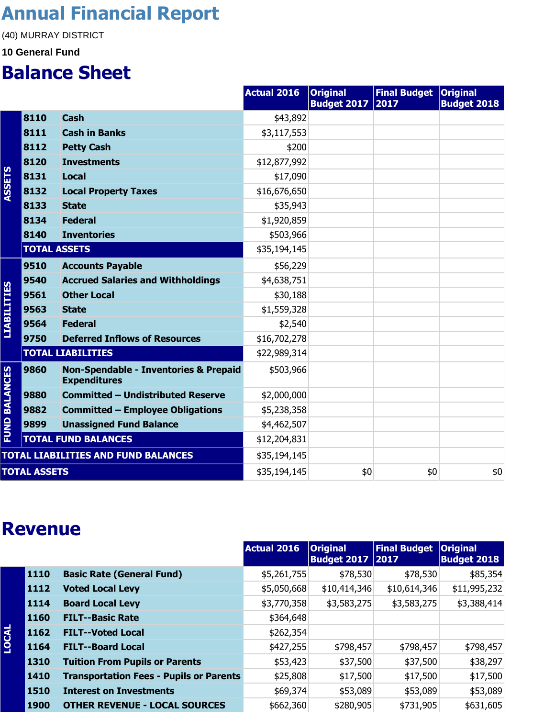#### **Annual Financial Report**

(40) MURRAY DISTRICT

#### **10 General Fund**

#### **Balance Sheet**

|                      |                     |                                                                         | <b>Actual 2016</b> | <b>Original</b><br><b>Budget 2017</b> | <b>Final Budget   Original</b><br>2017 | <b>Budget 2018</b> |
|----------------------|---------------------|-------------------------------------------------------------------------|--------------------|---------------------------------------|----------------------------------------|--------------------|
|                      | 8110                | <b>Cash</b>                                                             | \$43,892           |                                       |                                        |                    |
|                      | 8111                | <b>Cash in Banks</b>                                                    | \$3,117,553        |                                       |                                        |                    |
|                      | 8112                | <b>Petty Cash</b>                                                       | \$200              |                                       |                                        |                    |
|                      | 8120                | <b>Investments</b>                                                      | \$12,877,992       |                                       |                                        |                    |
|                      | 8131                | <b>Local</b>                                                            | \$17,090           |                                       |                                        |                    |
| <b>ASSETS</b>        | 8132                | <b>Local Property Taxes</b>                                             | \$16,676,650       |                                       |                                        |                    |
|                      | 8133                | <b>State</b>                                                            | \$35,943           |                                       |                                        |                    |
|                      | 8134                | <b>Federal</b>                                                          | \$1,920,859        |                                       |                                        |                    |
|                      | 8140                | <b>Inventories</b>                                                      | \$503,966          |                                       |                                        |                    |
|                      | <b>TOTAL ASSETS</b> |                                                                         | \$35,194,145       |                                       |                                        |                    |
|                      | 9510                | <b>Accounts Payable</b>                                                 | \$56,229           |                                       |                                        |                    |
|                      | 9540                | <b>Accrued Salaries and Withholdings</b>                                | \$4,638,751        |                                       |                                        |                    |
| <b>LIABILITIES</b>   | 9561                | <b>Other Local</b>                                                      | \$30,188           |                                       |                                        |                    |
|                      | 9563                | <b>State</b>                                                            | \$1,559,328        |                                       |                                        |                    |
|                      | 9564                | <b>Federal</b>                                                          | \$2,540            |                                       |                                        |                    |
|                      | 9750                | <b>Deferred Inflows of Resources</b>                                    | \$16,702,278       |                                       |                                        |                    |
|                      |                     | <b>TOTAL LIABILITIES</b>                                                | \$22,989,314       |                                       |                                        |                    |
| <b>FUND BALANCES</b> | 9860                | <b>Non-Spendable - Inventories &amp; Prepaid</b><br><b>Expenditures</b> | \$503,966          |                                       |                                        |                    |
|                      | 9880                | <b>Committed - Undistributed Reserve</b>                                | \$2,000,000        |                                       |                                        |                    |
|                      | 9882                | <b>Committed - Employee Obligations</b>                                 | \$5,238,358        |                                       |                                        |                    |
|                      | 9899                | <b>Unassigned Fund Balance</b>                                          | \$4,462,507        |                                       |                                        |                    |
|                      |                     | <b>TOTAL FUND BALANCES</b>                                              | \$12,204,831       |                                       |                                        |                    |
|                      |                     | <b>TOTAL LIABILITIES AND FUND BALANCES</b>                              | \$35,194,145       |                                       |                                        |                    |
| <b>TOTAL ASSETS</b>  |                     | \$35,194,145                                                            | \$0                | \$0                                   | \$0                                    |                    |

#### **Revenue**

|              |             |                                                | <b>Actual 2016</b> | <b>Original</b><br>Budget 2017 2017 | <b>Final Budget</b> | <b>Original</b><br><b>Budget 2018</b> |
|--------------|-------------|------------------------------------------------|--------------------|-------------------------------------|---------------------|---------------------------------------|
|              | 1110        | <b>Basic Rate (General Fund)</b>               | \$5,261,755        | \$78,530                            | \$78,530            | \$85,354                              |
|              | 1112        | <b>Voted Local Levy</b>                        | \$5,050,668        | \$10,414,346                        | \$10,614,346        | \$11,995,232                          |
|              | 1114        | <b>Board Local Levy</b>                        | \$3,770,358        | \$3,583,275                         | \$3,583,275         | \$3,388,414                           |
|              | 1160        | <b>FILT--Basic Rate</b>                        | \$364,648          |                                     |                     |                                       |
| <b>LOCAL</b> | 1162        | <b>FILT--Voted Local</b>                       | \$262,354          |                                     |                     |                                       |
|              | 1164        | <b>FILT--Board Local</b>                       | \$427,255          | \$798,457                           | \$798,457           | \$798,457                             |
|              | 1310        | <b>Tuition From Pupils or Parents</b>          | \$53,423           | \$37,500                            | \$37,500            | \$38,297                              |
|              | 1410        | <b>Transportation Fees - Pupils or Parents</b> | \$25,808           | \$17,500                            | \$17,500            | \$17,500                              |
|              | 1510        | <b>Interest on Investments</b>                 | \$69,374           | \$53,089                            | \$53,089            | \$53,089                              |
|              | <b>1900</b> | <b>OTHER REVENUE - LOCAL SOURCES</b>           | \$662,360          | \$280,905                           | \$731,905           | \$631,605                             |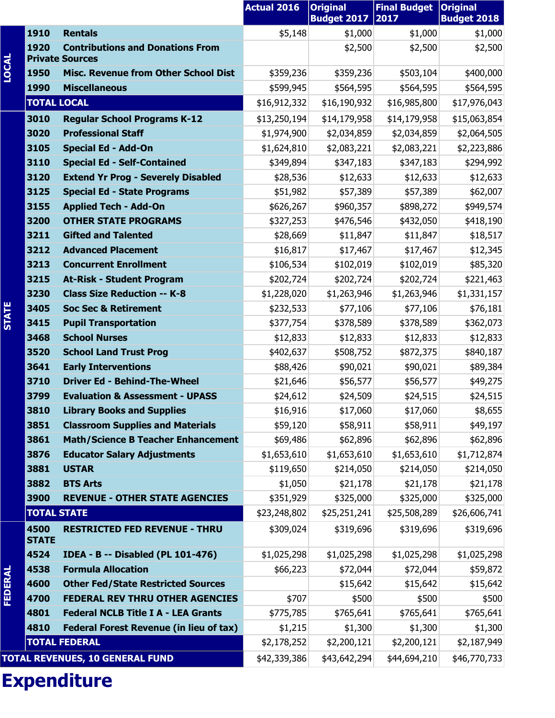|              |                      |                                                                   | <b>Actual 2016</b> | <b>Original</b><br><b>Budget 2017</b> | <b>Final Budget</b><br>2017 | <b>Original</b><br><b>Budget 2018</b> |
|--------------|----------------------|-------------------------------------------------------------------|--------------------|---------------------------------------|-----------------------------|---------------------------------------|
|              | 1910                 | <b>Rentals</b>                                                    | \$5,148            | \$1,000                               | \$1,000                     | \$1,000                               |
|              | 1920                 | <b>Contributions and Donations From</b><br><b>Private Sources</b> |                    | \$2,500                               | \$2,500                     | \$2,500                               |
| <b>LOCAL</b> | 1950                 | <b>Misc. Revenue from Other School Dist</b>                       | \$359,236          | \$359,236                             | \$503,104                   | \$400,000                             |
|              | 1990                 | <b>Miscellaneous</b>                                              | \$599,945          | \$564,595                             | \$564,595                   | \$564,595                             |
|              | <b>TOTAL LOCAL</b>   |                                                                   | \$16,912,332       | \$16,190,932                          | \$16,985,800                | \$17,976,043                          |
|              | 3010                 | <b>Regular School Programs K-12</b>                               | \$13,250,194       | \$14,179,958                          | \$14,179,958                | \$15,063,854                          |
|              | 3020                 | <b>Professional Staff</b>                                         | \$1,974,900        | \$2,034,859                           | \$2,034,859                 | \$2,064,505                           |
|              | 3105                 | <b>Special Ed - Add-On</b>                                        | \$1,624,810        | \$2,083,221                           | \$2,083,221                 | \$2,223,886                           |
|              | 3110                 | <b>Special Ed - Self-Contained</b>                                | \$349,894          | \$347,183                             | \$347,183                   | \$294,992                             |
|              | 3120                 | <b>Extend Yr Prog - Severely Disabled</b>                         | \$28,536           | \$12,633                              | \$12,633                    | \$12,633                              |
|              | 3125                 | <b>Special Ed - State Programs</b>                                | \$51,982           | \$57,389                              | \$57,389                    | \$62,007                              |
|              | 3155                 | <b>Applied Tech - Add-On</b>                                      | \$626,267          | \$960,357                             | \$898,272                   | \$949,574                             |
|              | 3200                 | <b>OTHER STATE PROGRAMS</b>                                       | \$327,253          | \$476,546                             | \$432,050                   | \$418,190                             |
|              | 3211                 | <b>Gifted and Talented</b>                                        | \$28,669           | \$11,847                              | \$11,847                    | \$18,517                              |
|              | 3212                 | <b>Advanced Placement</b>                                         | \$16,817           | \$17,467                              | \$17,467                    | \$12,345                              |
|              | 3213                 | <b>Concurrent Enrollment</b>                                      | \$106,534          | \$102,019                             | \$102,019                   | \$85,320                              |
|              | 3215                 | <b>At-Risk - Student Program</b>                                  | \$202,724          | \$202,724                             | \$202,724                   | \$221,463                             |
|              | 3230                 | <b>Class Size Reduction -- K-8</b>                                | \$1,228,020        | \$1,263,946                           | \$1,263,946                 | \$1,331,157                           |
| <b>STATE</b> | 3405                 | <b>Soc Sec &amp; Retirement</b>                                   | \$232,533          | \$77,106                              | \$77,106                    | \$76,181                              |
|              | 3415                 | <b>Pupil Transportation</b>                                       | \$377,754          | \$378,589                             | \$378,589                   | \$362,073                             |
|              | 3468                 | <b>School Nurses</b>                                              | \$12,833           | \$12,833                              | \$12,833                    | \$12,833                              |
|              | 3520                 | <b>School Land Trust Prog</b>                                     | \$402,637          | \$508,752                             | \$872,375                   | \$840,187                             |
|              | 3641                 | <b>Early Interventions</b>                                        | \$88,426           | \$90,021                              | \$90,021                    | \$89,384                              |
|              | 3710                 | <b>Driver Ed - Behind-The-Wheel</b>                               | \$21,646           | \$56,577                              | \$56,577                    | \$49,275                              |
|              | 3799                 | <b>Evaluation &amp; Assessment - UPASS</b>                        | \$24,612           | \$24,509                              | \$24,515                    | \$24,515                              |
|              | 3810                 | <b>Library Books and Supplies</b>                                 | \$16,916           | \$17,060                              | \$17,060                    | \$8,655                               |
|              | 3851                 | <b>Classroom Supplies and Materials</b>                           | \$59,120           | \$58,911                              | \$58,911                    | \$49,197                              |
|              | 3861                 | <b>Math/Science B Teacher Enhancement</b>                         | \$69,486           | \$62,896                              | \$62,896                    | \$62,896                              |
|              | 3876                 | <b>Educator Salary Adjustments</b>                                | \$1,653,610        | \$1,653,610                           | \$1,653,610                 | \$1,712,874                           |
|              | 3881                 | <b>USTAR</b>                                                      | \$119,650          | \$214,050                             | \$214,050                   | \$214,050                             |
|              | 3882                 | <b>BTS Arts</b>                                                   | \$1,050            | \$21,178                              | \$21,178                    | \$21,178                              |
|              | 3900                 | <b>REVENUE - OTHER STATE AGENCIES</b>                             | \$351,929          | \$325,000                             | \$325,000                   | \$325,000                             |
|              | <b>TOTAL STATE</b>   |                                                                   | \$23,248,802       | \$25,251,241                          | \$25,508,289                | \$26,606,741                          |
|              | 4500<br><b>STATE</b> | <b>RESTRICTED FED REVENUE - THRU</b>                              | \$309,024          | \$319,696                             | \$319,696                   | \$319,696                             |
|              | 4524                 | <b>IDEA - B -- Disabled (PL 101-476)</b>                          | \$1,025,298        | \$1,025,298                           | \$1,025,298                 | \$1,025,298                           |
|              | 4538                 | <b>Formula Allocation</b>                                         | \$66,223           | \$72,044                              | \$72,044                    | \$59,872                              |
| FEDERAL      | 4600                 | <b>Other Fed/State Restricted Sources</b>                         |                    | \$15,642                              | \$15,642                    | \$15,642                              |
|              | 4700                 | <b>FEDERAL REV THRU OTHER AGENCIES</b>                            | \$707              | \$500                                 | \$500                       | \$500                                 |
|              | 4801                 | <b>Federal NCLB Title I A - LEA Grants</b>                        | \$775,785          | \$765,641                             | \$765,641                   | \$765,641                             |
|              | 4810                 | <b>Federal Forest Revenue (in lieu of tax)</b>                    | \$1,215            | \$1,300                               | \$1,300                     | \$1,300                               |
|              |                      | <b>TOTAL FEDERAL</b>                                              | \$2,178,252        | \$2,200,121                           | \$2,200,121                 | \$2,187,949                           |
|              |                      | <b>TOTAL REVENUES, 10 GENERAL FUND</b>                            | \$42,339,386       | \$43,642,294                          | \$44,694,210                | \$46,770,733                          |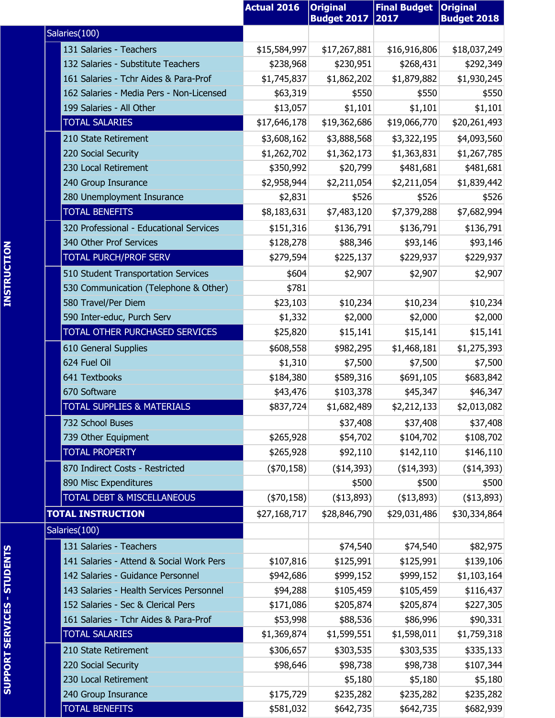|                                          | <b>Actual 2016</b> | <b>Original</b><br><b>Budget 2017</b> | <b>Final Budget   Original</b><br>2017 | <b>Budget 2018</b> |
|------------------------------------------|--------------------|---------------------------------------|----------------------------------------|--------------------|
| Salaries(100)                            |                    |                                       |                                        |                    |
| 131 Salaries - Teachers                  | \$15,584,997       | \$17,267,881                          | \$16,916,806                           | \$18,037,249       |
| 132 Salaries - Substitute Teachers       | \$238,968          | \$230,951                             | \$268,431                              | \$292,349          |
| 161 Salaries - Tchr Aides & Para-Prof    | \$1,745,837        | \$1,862,202                           | \$1,879,882                            | \$1,930,245        |
| 162 Salaries - Media Pers - Non-Licensed | \$63,319           | \$550                                 | \$550                                  | \$550              |
| 199 Salaries - All Other                 | \$13,057           | \$1,101                               | \$1,101                                | \$1,101            |
| <b>TOTAL SALARIES</b>                    | \$17,646,178       | \$19,362,686                          | \$19,066,770                           | \$20,261,493       |
| 210 State Retirement                     | \$3,608,162        | \$3,888,568                           | \$3,322,195                            | \$4,093,560        |
| 220 Social Security                      | \$1,262,702        | \$1,362,173                           | \$1,363,831                            | \$1,267,785        |
| 230 Local Retirement                     | \$350,992          | \$20,799                              | \$481,681                              | \$481,681          |
| 240 Group Insurance                      | \$2,958,944        | \$2,211,054                           | \$2,211,054                            | \$1,839,442        |
| 280 Unemployment Insurance               | \$2,831            | \$526                                 | \$526                                  | \$526              |
| <b>TOTAL BENEFITS</b>                    | \$8,183,631        | \$7,483,120                           | \$7,379,288                            | \$7,682,994        |
| 320 Professional - Educational Services  | \$151,316          | \$136,791                             | \$136,791                              | \$136,791          |
| 340 Other Prof Services                  | \$128,278          | \$88,346                              | \$93,146                               | \$93,146           |
| TOTAL PURCH/PROF SERV                    | \$279,594          | \$225,137                             | \$229,937                              | \$229,937          |
| 510 Student Transportation Services      | \$604              | \$2,907                               | \$2,907                                | \$2,907            |
| 530 Communication (Telephone & Other)    | \$781              |                                       |                                        |                    |
| 580 Travel/Per Diem                      | \$23,103           | \$10,234                              | \$10,234                               | \$10,234           |
| 590 Inter-educ, Purch Serv               | \$1,332            | \$2,000                               | \$2,000                                | \$2,000            |
| TOTAL OTHER PURCHASED SERVICES           | \$25,820           | \$15,141                              | \$15,141                               | \$15,141           |
| 610 General Supplies                     | \$608,558          | \$982,295                             | \$1,468,181                            | \$1,275,393        |
| 624 Fuel Oil                             | \$1,310            | \$7,500                               | \$7,500                                | \$7,500            |
| 641 Textbooks                            | \$184,380          | \$589,316                             | \$691,105                              | \$683,842          |
| 670 Software                             | \$43,476           | \$103,378                             | \$45,347                               | \$46,347           |
| <b>TOTAL SUPPLIES &amp; MATERIALS</b>    | \$837,724          | \$1,682,489                           | \$2,212,133                            | \$2,013,082        |
| 732 School Buses                         |                    | \$37,408                              | \$37,408                               | \$37,408           |
| 739 Other Equipment                      | \$265,928          | \$54,702                              | \$104,702                              | \$108,702          |
| <b>TOTAL PROPERTY</b>                    | \$265,928          | \$92,110                              | \$142,110                              | \$146,110          |
| 870 Indirect Costs - Restricted          | $(*70,158)$        | (\$14,393)                            | (\$14,393)                             | (\$14,393)         |
| 890 Misc Expenditures                    |                    | \$500                                 | \$500                                  | \$500              |
| TOTAL DEBT & MISCELLANEOUS               | $(*70,158)$        | ( \$13,893)                           | ( \$13,893)                            | (413,893)          |
| <b>TOTAL INSTRUCTION</b>                 | \$27,168,717       | \$28,846,790                          | \$29,031,486                           | \$30,334,864       |
| Salaries(100)                            |                    |                                       |                                        |                    |
| 131 Salaries - Teachers                  |                    | \$74,540                              | \$74,540                               | \$82,975           |
| 141 Salaries - Attend & Social Work Pers | \$107,816          | \$125,991                             | \$125,991                              | \$139,106          |
| 142 Salaries - Guidance Personnel        | \$942,686          | \$999,152                             | \$999,152                              | \$1,103,164        |
| 143 Salaries - Health Services Personnel | \$94,288           | \$105,459                             | \$105,459                              | \$116,437          |
| 152 Salaries - Sec & Clerical Pers       | \$171,086          | \$205,874                             | \$205,874                              | \$227,305          |
| 161 Salaries - Tchr Aides & Para-Prof    | \$53,998           | \$88,536                              | \$86,996                               | \$90,331           |
| <b>TOTAL SALARIES</b>                    | \$1,369,874        | \$1,599,551                           | \$1,598,011                            | \$1,759,318        |
| 210 State Retirement                     | \$306,657          | \$303,535                             | \$303,535                              | \$335,133          |
| 220 Social Security                      | \$98,646           | \$98,738                              | \$98,738                               | \$107,344          |
| 230 Local Retirement                     |                    | \$5,180                               | \$5,180                                | \$5,180            |
| 240 Group Insurance                      | \$175,729          | \$235,282                             | \$235,282                              | \$235,282          |
| <b>TOTAL BENEFITS</b>                    | \$581,032          | \$642,735                             | \$642,735                              | \$682,939          |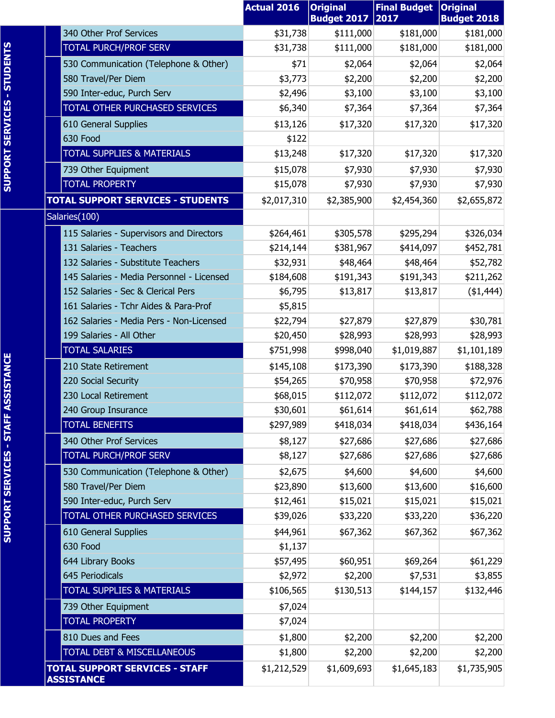|                                                            | <b>Actual 2016</b> | <b>Original</b><br><b>Budget 2017</b> | <b>Final Budget</b><br>2017 | <b>Original</b><br><b>Budget 2018</b> |
|------------------------------------------------------------|--------------------|---------------------------------------|-----------------------------|---------------------------------------|
| 340 Other Prof Services                                    | \$31,738           | \$111,000                             | \$181,000                   | \$181,000                             |
| <b>TOTAL PURCH/PROF SERV</b>                               | \$31,738           | \$111,000                             | \$181,000                   | \$181,000                             |
| 530 Communication (Telephone & Other)                      | \$71               | \$2,064                               | \$2,064                     | \$2,064                               |
| 580 Travel/Per Diem                                        | \$3,773            | \$2,200                               | \$2,200                     | \$2,200                               |
| 590 Inter-educ, Purch Serv                                 | \$2,496            | \$3,100                               | \$3,100                     | \$3,100                               |
| TOTAL OTHER PURCHASED SERVICES                             | \$6,340            | \$7,364                               | \$7,364                     | \$7,364                               |
| 610 General Supplies                                       | \$13,126           | \$17,320                              | \$17,320                    | \$17,320                              |
| 630 Food                                                   | \$122              |                                       |                             |                                       |
| <b>TOTAL SUPPLIES &amp; MATERIALS</b>                      | \$13,248           | \$17,320                              | \$17,320                    | \$17,320                              |
| 739 Other Equipment                                        | \$15,078           | \$7,930                               | \$7,930                     | \$7,930                               |
| <b>TOTAL PROPERTY</b>                                      | \$15,078           | \$7,930                               | \$7,930                     | \$7,930                               |
| <b>TOTAL SUPPORT SERVICES - STUDENTS</b>                   | \$2,017,310        | \$2,385,900                           | \$2,454,360                 | \$2,655,872                           |
| Salaries(100)                                              |                    |                                       |                             |                                       |
| 115 Salaries - Supervisors and Directors                   | \$264,461          | \$305,578                             | \$295,294                   | \$326,034                             |
| 131 Salaries - Teachers                                    | \$214,144          | \$381,967                             | \$414,097                   | \$452,781                             |
| 132 Salaries - Substitute Teachers                         | \$32,931           | \$48,464                              | \$48,464                    | \$52,782                              |
| 145 Salaries - Media Personnel - Licensed                  | \$184,608          | \$191,343                             | \$191,343                   | \$211,262                             |
| 152 Salaries - Sec & Clerical Pers                         | \$6,795            | \$13,817                              | \$13,817                    | (\$1,444)                             |
| 161 Salaries - Tchr Aides & Para-Prof                      | \$5,815            |                                       |                             |                                       |
| 162 Salaries - Media Pers - Non-Licensed                   | \$22,794           | \$27,879                              | \$27,879                    | \$30,781                              |
| 199 Salaries - All Other                                   | \$20,450           | \$28,993                              | \$28,993                    | \$28,993                              |
| <b>TOTAL SALARIES</b>                                      | \$751,998          | \$998,040                             | \$1,019,887                 | \$1,101,189                           |
| 210 State Retirement                                       | \$145,108          | \$173,390                             | \$173,390                   | \$188,328                             |
| 220 Social Security                                        | \$54,265           | \$70,958                              | \$70,958                    | \$72,976                              |
| 230 Local Retirement                                       | \$68,015           | \$112,072                             | \$112,072                   | \$112,072                             |
| 240 Group Insurance                                        | \$30,601           | \$61,614                              | \$61,614                    | \$62,788                              |
| <b>TOTAL BENEFITS</b>                                      | \$297,989          | \$418,034                             | \$418,034                   | \$436,164                             |
| 340 Other Prof Services                                    | \$8,127            | \$27,686                              | \$27,686                    | \$27,686                              |
| <b>TOTAL PURCH/PROF SERV</b>                               | \$8,127            | \$27,686                              | \$27,686                    | \$27,686                              |
| 530 Communication (Telephone & Other)                      | \$2,675            | \$4,600                               | \$4,600                     | \$4,600                               |
| 580 Travel/Per Diem                                        | \$23,890           | \$13,600                              | \$13,600                    | \$16,600                              |
| 590 Inter-educ, Purch Serv                                 | \$12,461           | \$15,021                              | \$15,021                    | \$15,021                              |
| TOTAL OTHER PURCHASED SERVICES                             | \$39,026           | \$33,220                              | \$33,220                    | \$36,220                              |
| 610 General Supplies                                       | \$44,961           | \$67,362                              | \$67,362                    | \$67,362                              |
| 630 Food                                                   | \$1,137            |                                       |                             |                                       |
| 644 Library Books                                          | \$57,495           | \$60,951                              | \$69,264                    | \$61,229                              |
| 645 Periodicals                                            | \$2,972            | \$2,200                               | \$7,531                     | \$3,855                               |
| <b>TOTAL SUPPLIES &amp; MATERIALS</b>                      | \$106,565          | \$130,513                             | \$144,157                   | \$132,446                             |
| 739 Other Equipment                                        | \$7,024            |                                       |                             |                                       |
| <b>TOTAL PROPERTY</b>                                      | \$7,024            |                                       |                             |                                       |
| 810 Dues and Fees                                          | \$1,800            | \$2,200                               | \$2,200                     | \$2,200                               |
| TOTAL DEBT & MISCELLANEOUS                                 | \$1,800            | \$2,200                               | \$2,200                     | \$2,200                               |
| <b>TOTAL SUPPORT SERVICES - STAFF</b><br><b>ASSISTANCE</b> | \$1,212,529        | \$1,609,693                           | \$1,645,183                 | \$1,735,905                           |
|                                                            |                    |                                       |                             |                                       |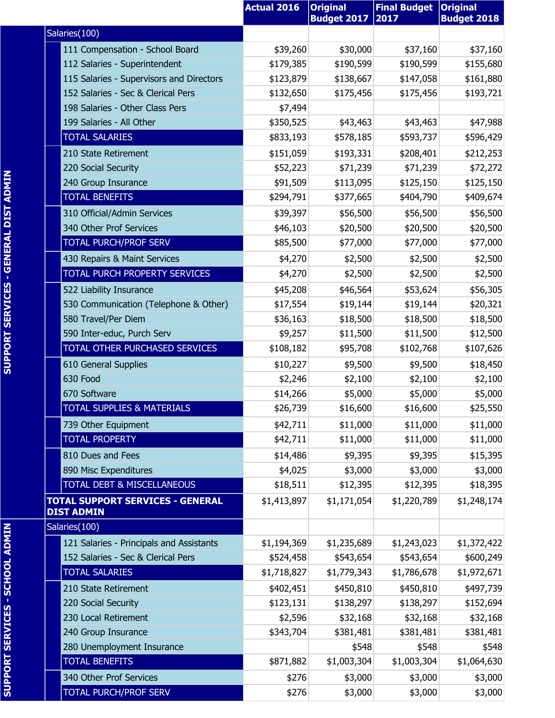|                                                       | <b>Actual 2016</b> | <b>Original</b><br><b>Budget 2017</b> | <b>Final Budget</b><br>2017 | <b>Original</b><br><b>Budget 2018</b> |
|-------------------------------------------------------|--------------------|---------------------------------------|-----------------------------|---------------------------------------|
| Salaries(100)                                         |                    |                                       |                             |                                       |
| 111 Compensation - School Board                       | \$39,260           | \$30,000                              | \$37,160                    | \$37,160                              |
| 112 Salaries - Superintendent                         | \$179,385          | \$190,599                             | \$190,599                   | \$155,680                             |
| 115 Salaries - Supervisors and Directors              | \$123,879          | \$138,667                             | \$147,058                   | \$161,880                             |
| 152 Salaries - Sec & Clerical Pers                    | \$132,650          | \$175,456                             | \$175,456                   | \$193,721                             |
| 198 Salaries - Other Class Pers                       | \$7,494            |                                       |                             |                                       |
| 199 Salaries - All Other                              | \$350,525          | \$43,463                              | \$43,463                    | \$47,988                              |
| <b>TOTAL SALARIES</b>                                 | \$833,193          | \$578,185                             | \$593,737                   | \$596,429                             |
| 210 State Retirement                                  | \$151,059          | \$193,331                             | \$208,401                   | \$212,253                             |
| 220 Social Security                                   | \$52,223           | \$71,239                              | \$71,239                    | \$72,272                              |
| 240 Group Insurance                                   | \$91,509           | \$113,095                             | \$125,150                   | \$125,150                             |
| <b>TOTAL BENEFITS</b>                                 | \$294,791          | \$377,665                             | \$404,790                   | \$409,674                             |
| 310 Official/Admin Services                           | \$39,397           | \$56,500                              | \$56,500                    | \$56,500                              |
| 340 Other Prof Services                               | \$46,103           | \$20,500                              | \$20,500                    | \$20,500                              |
| TOTAL PURCH/PROF SERV                                 | \$85,500           | \$77,000                              | \$77,000                    | \$77,000                              |
| 430 Repairs & Maint Services                          | \$4,270            | \$2,500                               | \$2,500                     | \$2,500                               |
| TOTAL PURCH PROPERTY SERVICES                         | \$4,270            | \$2,500                               | \$2,500                     | \$2,500                               |
| 522 Liability Insurance                               | \$45,208           | \$46,564                              | \$53,624                    | \$56,305                              |
| 530 Communication (Telephone & Other)                 | \$17,554           | \$19,144                              | \$19,144                    | \$20,321                              |
| 580 Travel/Per Diem                                   | \$36,163           | \$18,500                              | \$18,500                    | \$18,500                              |
| 590 Inter-educ, Purch Serv                            | \$9,257            | \$11,500                              | \$11,500                    | \$12,500                              |
| TOTAL OTHER PURCHASED SERVICES                        | \$108,182          | \$95,708                              | \$102,768                   | \$107,626                             |
| <b>610 General Supplies</b>                           | \$10,227           | \$9,500                               | \$9,500                     | \$18,450                              |
| 630 Food                                              | \$2,246            | \$2,100                               | \$2,100                     | \$2,100                               |
| 670 Software                                          | \$14,266           | \$5,000                               | \$5,000                     | \$5,000                               |
| <b>TOTAL SUPPLIES &amp; MATERIALS</b>                 | \$26,739           | \$16,600                              | \$16,600                    | \$25,550                              |
| 739 Other Equipment                                   | \$42,711           | \$11,000                              | \$11,000                    | \$11,000                              |
| <b>TOTAL PROPERTY</b>                                 | \$42,711           | \$11,000                              | \$11,000                    | \$11,000                              |
| 810 Dues and Fees                                     | \$14,486           | \$9,395                               | \$9,395                     | \$15,395                              |
| 890 Misc Expenditures                                 | \$4,025            | \$3,000                               | \$3,000                     | \$3,000                               |
| <b>TOTAL DEBT &amp; MISCELLANEOUS</b>                 | \$18,511           | \$12,395                              | \$12,395                    | \$18,395                              |
| TOTAL SUPPORT SERVICES - GENERAL<br><b>DIST ADMIN</b> | \$1,413,897        | \$1,171,054                           | \$1,220,789                 | \$1,248,174                           |
| Salaries(100)                                         |                    |                                       |                             |                                       |
| 121 Salaries - Principals and Assistants              | \$1,194,369        | \$1,235,689                           | \$1,243,023                 | \$1,372,422                           |
| 152 Salaries - Sec & Clerical Pers                    | \$524,458          | \$543,654                             | \$543,654                   | \$600,249                             |
| <b>TOTAL SALARIES</b>                                 | \$1,718,827        | \$1,779,343                           | \$1,786,678                 | \$1,972,671                           |
| 210 State Retirement                                  | \$402,451          | \$450,810                             | \$450,810                   | \$497,739                             |
| 220 Social Security                                   | \$123,131          | \$138,297                             | \$138,297                   | \$152,694                             |
| 230 Local Retirement                                  | \$2,596            | \$32,168                              | \$32,168                    | \$32,168                              |
| 240 Group Insurance                                   | \$343,704          | \$381,481                             | \$381,481                   | \$381,481                             |
| 280 Unemployment Insurance                            |                    | \$548                                 | \$548                       | \$548                                 |
| <b>TOTAL BENEFITS</b>                                 | \$871,882          | \$1,003,304                           | \$1,003,304                 | \$1,064,630                           |
| 340 Other Prof Services                               | \$276              | \$3,000                               | \$3,000                     | \$3,000                               |
| <b>TOTAL PURCH/PROF SERV</b>                          | \$276              | \$3,000                               | \$3,000                     | \$3,000                               |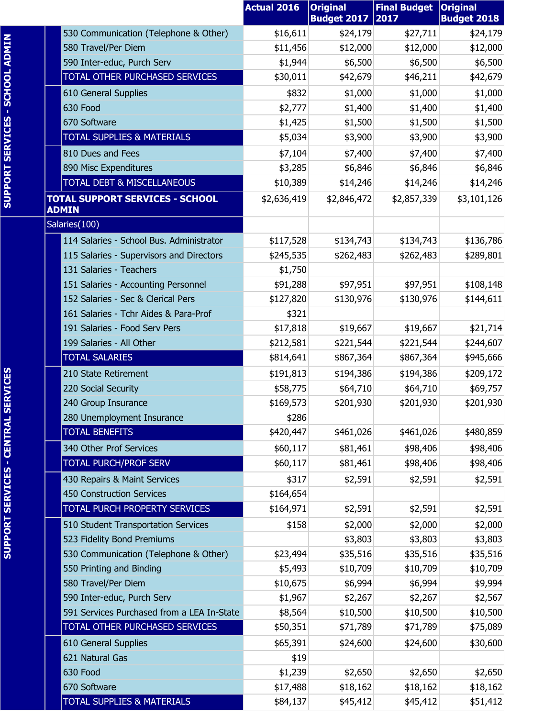|                                                        | <b>Actual 2016</b> | <b>Original</b><br><b>Budget 2017</b> | <b>Final Budget</b><br>2017 | <b>Original</b><br><b>Budget 2018</b> |
|--------------------------------------------------------|--------------------|---------------------------------------|-----------------------------|---------------------------------------|
| 530 Communication (Telephone & Other)                  | \$16,611           | \$24,179                              | \$27,711                    | \$24,179                              |
| 580 Travel/Per Diem                                    | \$11,456           | \$12,000                              | \$12,000                    | \$12,000                              |
| 590 Inter-educ, Purch Serv                             | \$1,944            | \$6,500                               | \$6,500                     | \$6,500                               |
| TOTAL OTHER PURCHASED SERVICES                         | \$30,011           | \$42,679                              | \$46,211                    | \$42,679                              |
| 610 General Supplies                                   | \$832              | \$1,000                               | \$1,000                     | \$1,000                               |
| 630 Food                                               | \$2,777            | \$1,400                               | \$1,400                     | \$1,400                               |
| 670 Software                                           | \$1,425            | \$1,500                               | \$1,500                     | \$1,500                               |
| <b>TOTAL SUPPLIES &amp; MATERIALS</b>                  | \$5,034            | \$3,900                               | \$3,900                     | \$3,900                               |
| 810 Dues and Fees                                      | \$7,104            | \$7,400                               | \$7,400                     | \$7,400                               |
| 890 Misc Expenditures                                  | \$3,285            | \$6,846                               | \$6,846                     | \$6,846                               |
| TOTAL DEBT & MISCELLANEOUS                             | \$10,389           | \$14,246                              | \$14,246                    | \$14,246                              |
| <b>TOTAL SUPPORT SERVICES - SCHOOL</b><br><b>ADMIN</b> | \$2,636,419        | \$2,846,472                           | \$2,857,339                 | \$3,101,126                           |
| Salaries(100)                                          |                    |                                       |                             |                                       |
| 114 Salaries - School Bus, Administrator               | \$117,528          | \$134,743                             | \$134,743                   | \$136,786                             |
| 115 Salaries - Supervisors and Directors               | \$245,535          | \$262,483                             | \$262,483                   | \$289,801                             |
| 131 Salaries - Teachers                                | \$1,750            |                                       |                             |                                       |
| 151 Salaries - Accounting Personnel                    | \$91,288           | \$97,951                              | \$97,951                    | \$108,148                             |
| 152 Salaries - Sec & Clerical Pers                     | \$127,820          | \$130,976                             | \$130,976                   | \$144,611                             |
| 161 Salaries - Tchr Aides & Para-Prof                  | \$321              |                                       |                             |                                       |
| 191 Salaries - Food Serv Pers                          | \$17,818           | \$19,667                              | \$19,667                    | \$21,714                              |
| 199 Salaries - All Other                               | \$212,581          | \$221,544                             | \$221,544                   | \$244,607                             |
| <b>TOTAL SALARIES</b>                                  | \$814,641          | \$867,364                             | \$867,364                   | \$945,666                             |
| 210 State Retirement                                   | \$191,813          | \$194,386                             | \$194,386                   | \$209,172                             |
| 220 Social Security                                    | \$58,775           | \$64,710                              | \$64,710                    | \$69,757                              |
| 240 Group Insurance                                    | \$169,573          | \$201,930                             | \$201,930                   | \$201,930                             |
| 280 Unemployment Insurance                             | \$286              |                                       |                             |                                       |
| <b>TOTAL BENEFITS</b>                                  | \$420,447          | \$461,026                             | \$461,026                   | \$480,859                             |
| 340 Other Prof Services                                | \$60,117           | \$81,461                              | \$98,406                    | \$98,406                              |
| <b>TOTAL PURCH/PROF SERV</b>                           | \$60,117           | \$81,461                              | \$98,406                    | \$98,406                              |
| 430 Repairs & Maint Services                           | \$317              | \$2,591                               | \$2,591                     | \$2,591                               |
| 450 Construction Services                              | \$164,654          |                                       |                             |                                       |
| TOTAL PURCH PROPERTY SERVICES                          | \$164,971          | \$2,591                               | \$2,591                     | \$2,591                               |
| 510 Student Transportation Services                    | \$158              | \$2,000                               | \$2,000                     | \$2,000                               |
| 523 Fidelity Bond Premiums                             |                    | \$3,803                               | \$3,803                     | \$3,803                               |
| 530 Communication (Telephone & Other)                  | \$23,494           | \$35,516                              | \$35,516                    | \$35,516                              |
| 550 Printing and Binding                               | \$5,493            | \$10,709                              | \$10,709                    | \$10,709                              |
| 580 Travel/Per Diem                                    | \$10,675           | \$6,994                               | \$6,994                     | \$9,994                               |
| 590 Inter-educ, Purch Serv                             | \$1,967            | \$2,267                               | \$2,267                     | \$2,567                               |
| 591 Services Purchased from a LEA In-State             | \$8,564            | \$10,500                              | \$10,500                    | \$10,500                              |
| TOTAL OTHER PURCHASED SERVICES                         | \$50,351           | \$71,789                              | \$71,789                    | \$75,089                              |
| 610 General Supplies                                   | \$65,391           | \$24,600                              | \$24,600                    | \$30,600                              |
| 621 Natural Gas                                        | \$19               |                                       |                             |                                       |
| 630 Food                                               | \$1,239            | \$2,650                               | \$2,650                     | \$2,650                               |
| 670 Software<br><b>TOTAL SUPPLIES &amp; MATERIALS</b>  | \$17,488           | \$18,162                              | \$18,162                    | \$18,162                              |
|                                                        | \$84,137           | \$45,412                              | \$45,412                    | \$51,412                              |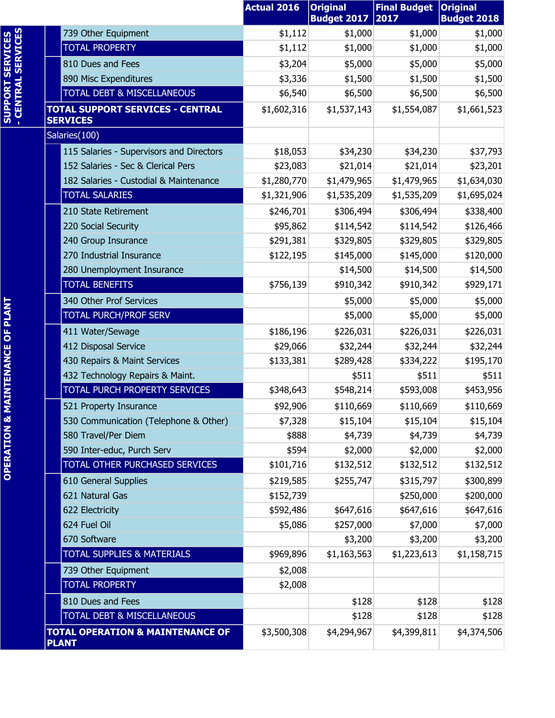|                                                |                                                             | <b>Actual 2016</b> | <b>Original</b><br><b>Budget 2017</b> | <b>Final Budget</b><br>2017 | <b>Original</b><br><b>Budget 2018</b> |
|------------------------------------------------|-------------------------------------------------------------|--------------------|---------------------------------------|-----------------------------|---------------------------------------|
|                                                | 739 Other Equipment                                         | \$1,112            | \$1,000                               | \$1,000                     | \$1,000                               |
|                                                | <b>TOTAL PROPERTY</b>                                       | \$1,112            | \$1,000                               | \$1,000                     | \$1,000                               |
|                                                | 810 Dues and Fees                                           | \$3,204            | \$5,000                               | \$5,000                     | \$5,000                               |
|                                                | 890 Misc Expenditures                                       | \$3,336            | \$1,500                               | \$1,500                     | \$1,500                               |
|                                                | TOTAL DEBT & MISCELLANEOUS                                  | \$6,540            | \$6,500                               | \$6,500                     | \$6,500                               |
| <b>SUPPORT SERVICES<br/>- CENTRAL SERVICES</b> | <b>TOTAL SUPPORT SERVICES - CENTRAL</b><br><b>SERVICES</b>  | \$1,602,316        | \$1,537,143                           | \$1,554,087                 | \$1,661,523                           |
|                                                | Salaries(100)                                               |                    |                                       |                             |                                       |
|                                                | 115 Salaries - Supervisors and Directors                    | \$18,053           | \$34,230                              | \$34,230                    | \$37,793                              |
|                                                | 152 Salaries - Sec & Clerical Pers                          | \$23,083           | \$21,014                              | \$21,014                    | \$23,201                              |
|                                                | 182 Salaries - Custodial & Maintenance                      | \$1,280,770        | \$1,479,965                           | \$1,479,965                 | \$1,634,030                           |
|                                                | <b>TOTAL SALARIES</b>                                       | \$1,321,906        | \$1,535,209                           | \$1,535,209                 | \$1,695,024                           |
|                                                | 210 State Retirement                                        | \$246,701          | \$306,494                             | \$306,494                   | \$338,400                             |
|                                                | 220 Social Security                                         | \$95,862           | \$114,542                             | \$114,542                   | \$126,466                             |
|                                                | 240 Group Insurance                                         | \$291,381          | \$329,805                             | \$329,805                   | \$329,805                             |
|                                                | 270 Industrial Insurance                                    | \$122,195          | \$145,000                             | \$145,000                   | \$120,000                             |
|                                                | 280 Unemployment Insurance                                  |                    | \$14,500                              | \$14,500                    | \$14,500                              |
|                                                | <b>TOTAL BENEFITS</b>                                       | \$756,139          | \$910,342                             | \$910,342                   | \$929,171                             |
|                                                | 340 Other Prof Services                                     |                    | \$5,000                               | \$5,000                     | \$5,000                               |
| <b>IAINTENANCE OF PLANT</b>                    | <b>TOTAL PURCH/PROF SERV</b>                                |                    | \$5,000                               | \$5,000                     | \$5,000                               |
|                                                | 411 Water/Sewage                                            | \$186,196          | \$226,031                             | \$226,031                   | \$226,031                             |
|                                                | 412 Disposal Service                                        | \$29,066           | \$32,244                              | \$32,244                    | \$32,244                              |
|                                                | 430 Repairs & Maint Services                                | \$133,381          | \$289,428                             | \$334,222                   | \$195,170                             |
|                                                | 432 Technology Repairs & Maint.                             |                    | \$511                                 | \$511                       | \$511                                 |
|                                                | TOTAL PURCH PROPERTY SERVICES                               | \$348,643          | \$548,214                             | \$593,008                   | \$453,956                             |
|                                                | 521 Property Insurance                                      | \$92,906           | \$110,669                             | \$110,669                   | \$110,669                             |
|                                                | 530 Communication (Telephone & Other)                       | \$7,328            | \$15,104                              | \$15,104                    | \$15,104                              |
|                                                | 580 Travel/Per Diem                                         | \$888              | \$4,739                               | \$4,739                     | \$4,739                               |
|                                                | 590 Inter-educ, Purch Serv                                  | \$594              | \$2,000                               | \$2,000                     | \$2,000                               |
| <b>OPERATION &amp; M</b>                       | <b>TOTAL OTHER PURCHASED SERVICES</b>                       | \$101,716          | \$132,512                             | \$132,512                   | \$132,512                             |
|                                                | 610 General Supplies                                        | \$219,585          | \$255,747                             | \$315,797                   | \$300,899                             |
|                                                | 621 Natural Gas                                             | \$152,739          |                                       | \$250,000                   | \$200,000                             |
|                                                | 622 Electricity                                             | \$592,486          | \$647,616                             | \$647,616                   | \$647,616                             |
|                                                | 624 Fuel Oil                                                | \$5,086            | \$257,000                             | \$7,000                     | \$7,000                               |
|                                                | 670 Software                                                |                    | \$3,200                               | \$3,200                     | \$3,200                               |
|                                                | <b>TOTAL SUPPLIES &amp; MATERIALS</b>                       | \$969,896          | \$1,163,563                           | \$1,223,613                 | \$1,158,715                           |
|                                                | 739 Other Equipment                                         | \$2,008            |                                       |                             |                                       |
|                                                | <b>TOTAL PROPERTY</b>                                       | \$2,008            |                                       |                             |                                       |
|                                                | 810 Dues and Fees                                           |                    | \$128                                 | \$128                       | \$128                                 |
|                                                | TOTAL DEBT & MISCELLANEOUS                                  |                    | \$128                                 | \$128                       | \$128                                 |
|                                                | <b>TOTAL OPERATION &amp; MAINTENANCE OF</b><br><b>PLANT</b> | \$3,500,308        | \$4,294,967                           | \$4,399,811                 | \$4,374,506                           |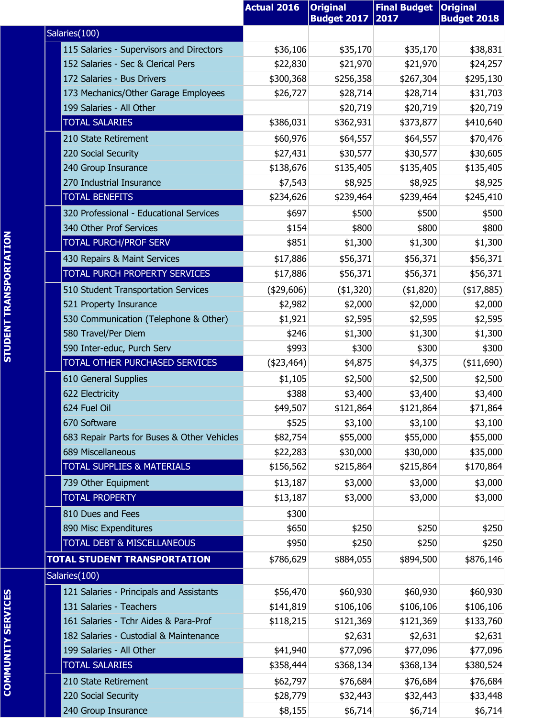|                                             | <b>Actual 2016</b> | <b>Original</b><br><b>Budget 2017</b> | <b>Final Budget   Original</b><br>2017 | <b>Budget 2018</b> |
|---------------------------------------------|--------------------|---------------------------------------|----------------------------------------|--------------------|
| Salaries(100)                               |                    |                                       |                                        |                    |
| 115 Salaries - Supervisors and Directors    | \$36,106           | \$35,170                              | \$35,170                               | \$38,831           |
| 152 Salaries - Sec & Clerical Pers          | \$22,830           | \$21,970                              | \$21,970                               | \$24,257           |
| 172 Salaries - Bus Drivers                  | \$300,368          | \$256,358                             | \$267,304                              | \$295,130          |
| 173 Mechanics/Other Garage Employees        | \$26,727           | \$28,714                              | \$28,714                               | \$31,703           |
| 199 Salaries - All Other                    |                    | \$20,719                              | \$20,719                               | \$20,719           |
| <b>TOTAL SALARIES</b>                       | \$386,031          | \$362,931                             | \$373,877                              | \$410,640          |
| 210 State Retirement                        | \$60,976           | \$64,557                              | \$64,557                               | \$70,476           |
| 220 Social Security                         | \$27,431           | \$30,577                              | \$30,577                               | \$30,605           |
| 240 Group Insurance                         | \$138,676          | \$135,405                             | \$135,405                              | \$135,405          |
| 270 Industrial Insurance                    | \$7,543            | \$8,925                               | \$8,925                                | \$8,925            |
| <b>TOTAL BENEFITS</b>                       | \$234,626          | \$239,464                             | \$239,464                              | \$245,410          |
| 320 Professional - Educational Services     | \$697              | \$500                                 | \$500                                  | \$500              |
| 340 Other Prof Services                     | \$154              | \$800                                 | \$800                                  | \$800              |
| <b>TOTAL PURCH/PROF SERV</b>                | \$851              | \$1,300                               | \$1,300                                | \$1,300            |
| 430 Repairs & Maint Services                | \$17,886           | \$56,371                              | \$56,371                               | \$56,371           |
| TOTAL PURCH PROPERTY SERVICES               | \$17,886           | \$56,371                              | \$56,371                               | \$56,371           |
| 510 Student Transportation Services         | $(*29,606)$        | (\$1,320)                             | $($ \$1,820)                           | (\$17,885)         |
| 521 Property Insurance                      | \$2,982            | \$2,000                               | \$2,000                                | \$2,000            |
| 530 Communication (Telephone & Other)       | \$1,921            | \$2,595                               | \$2,595                                | \$2,595            |
| 580 Travel/Per Diem                         | \$246              | \$1,300                               | \$1,300                                | \$1,300            |
| 590 Inter-educ, Purch Serv                  | \$993              | \$300                                 | \$300                                  | \$300              |
| TOTAL OTHER PURCHASED SERVICES              | $(*23,464)$        | \$4,875                               | \$4,375                                | ( \$11,690)        |
| 610 General Supplies                        | \$1,105            | \$2,500                               | \$2,500                                | \$2,500            |
| 622 Electricity                             | \$388              | \$3,400                               | \$3,400                                | \$3,400            |
| 624 Fuel Oil                                | \$49,507           | \$121,864                             | \$121,864                              | \$71,864           |
| 670 Software                                | \$525              | \$3,100                               | \$3,100                                | \$3,100            |
| 683 Repair Parts for Buses & Other Vehicles | \$82,754           | \$55,000                              | \$55,000                               | \$55,000           |
| 689 Miscellaneous                           | \$22,283           | \$30,000                              | \$30,000                               | \$35,000           |
| <b>TOTAL SUPPLIES &amp; MATERIALS</b>       | \$156,562          | \$215,864                             | \$215,864                              | \$170,864          |
| 739 Other Equipment                         | \$13,187           | \$3,000                               | \$3,000                                | \$3,000            |
| <b>TOTAL PROPERTY</b>                       | \$13,187           | \$3,000                               | \$3,000                                | \$3,000            |
| 810 Dues and Fees                           | \$300              |                                       |                                        |                    |
| 890 Misc Expenditures                       | \$650              | \$250                                 | \$250                                  | \$250              |
| TOTAL DEBT & MISCELLANEOUS                  | \$950              | \$250                                 | \$250                                  | \$250              |
| <b>TOTAL STUDENT TRANSPORTATION</b>         | \$786,629          | \$884,055                             | \$894,500                              | \$876,146          |
| Salaries(100)                               |                    |                                       |                                        |                    |
| 121 Salaries - Principals and Assistants    | \$56,470           | \$60,930                              | \$60,930                               | \$60,930           |
| 131 Salaries - Teachers                     | \$141,819          | \$106,106                             | \$106,106                              | \$106,106          |
| 161 Salaries - Tchr Aides & Para-Prof       | \$118,215          | \$121,369                             | \$121,369                              | \$133,760          |
| 182 Salaries - Custodial & Maintenance      |                    | \$2,631                               | \$2,631                                | \$2,631            |
| 199 Salaries - All Other                    | \$41,940           | \$77,096                              | \$77,096                               | \$77,096           |
| <b>TOTAL SALARIES</b>                       | \$358,444          | \$368,134                             | \$368,134                              | \$380,524          |
| 210 State Retirement                        | \$62,797           | \$76,684                              | \$76,684                               | \$76,684           |
| 220 Social Security                         | \$28,779           | \$32,443                              | \$32,443                               | \$33,448           |
| 240 Group Insurance                         | \$8,155            | \$6,714                               | \$6,714                                | \$6,714            |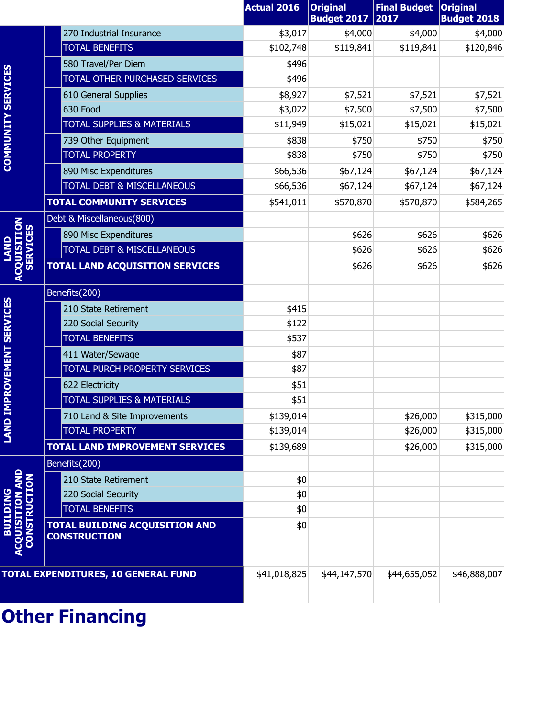|                                                                 |                                                              | <b>Actual 2016</b> | <b>Original</b><br><b>Budget 2017</b> | <b>Final Budget</b><br>2017 | <b>Original</b><br><b>Budget 2018</b> |
|-----------------------------------------------------------------|--------------------------------------------------------------|--------------------|---------------------------------------|-----------------------------|---------------------------------------|
|                                                                 | 270 Industrial Insurance                                     | \$3,017            | \$4,000                               | \$4,000                     | \$4,000                               |
|                                                                 | <b>TOTAL BENEFITS</b>                                        | \$102,748          | \$119,841                             | \$119,841                   | \$120,846                             |
|                                                                 | 580 Travel/Per Diem                                          | \$496              |                                       |                             |                                       |
|                                                                 | TOTAL OTHER PURCHASED SERVICES                               | \$496              |                                       |                             |                                       |
| <b>COMMUNITY SERVICES</b>                                       | 610 General Supplies                                         | \$8,927            | \$7,521                               | \$7,521                     | \$7,521                               |
|                                                                 | 630 Food                                                     | \$3,022            | \$7,500                               | \$7,500                     | \$7,500                               |
|                                                                 | <b>TOTAL SUPPLIES &amp; MATERIALS</b>                        | \$11,949           | \$15,021                              | \$15,021                    | \$15,021                              |
|                                                                 | 739 Other Equipment                                          | \$838              | \$750                                 | \$750                       | \$750                                 |
|                                                                 | <b>TOTAL PROPERTY</b>                                        | \$838              | \$750                                 | \$750                       | \$750                                 |
|                                                                 | 890 Misc Expenditures                                        | \$66,536           | \$67,124                              | \$67,124                    | \$67,124                              |
|                                                                 | <b>TOTAL DEBT &amp; MISCELLANEOUS</b>                        | \$66,536           | \$67,124                              | \$67,124                    | \$67,124                              |
|                                                                 | <b>TOTAL COMMUNITY SERVICES</b>                              | \$541,011          | \$570,870                             | \$570,870                   | \$584,265                             |
|                                                                 | Debt & Miscellaneous(800)                                    |                    |                                       |                             |                                       |
|                                                                 | 890 Misc Expenditures                                        |                    | \$626                                 | \$626                       | \$626                                 |
| <b>SERVICES</b>                                                 | <b>TOTAL DEBT &amp; MISCELLANEOUS</b>                        |                    | \$626                                 | \$626                       | \$626                                 |
| <b>ACQUISITION</b>                                              | <b>TOTAL LAND ACQUISITION SERVICES</b>                       |                    | \$626                                 | \$626                       | \$626                                 |
|                                                                 | Benefits(200)                                                |                    |                                       |                             |                                       |
|                                                                 | 210 State Retirement                                         | \$415              |                                       |                             |                                       |
|                                                                 | 220 Social Security                                          | \$122              |                                       |                             |                                       |
|                                                                 | <b>TOTAL BENEFITS</b>                                        | \$537              |                                       |                             |                                       |
|                                                                 | 411 Water/Sewage                                             | \$87               |                                       |                             |                                       |
| <b>IPROVEMENT SERVICES</b>                                      | TOTAL PURCH PROPERTY SERVICES                                | \$87               |                                       |                             |                                       |
|                                                                 | 622 Electricity                                              | \$51               |                                       |                             |                                       |
|                                                                 | <b>TOTAL SUPPLIES &amp; MATERIALS</b>                        | \$51               |                                       |                             |                                       |
|                                                                 | 710 Land & Site Improvements                                 | \$139,014          |                                       | \$26,000                    | \$315,000                             |
| <b>II ANAI</b>                                                  | <b>TOTAL PROPERTY</b>                                        | \$139,014          |                                       | \$26,000                    | \$315,000                             |
|                                                                 | TOTAL LAND IMPROVEMENT SERVICES                              | \$139,689          |                                       | \$26,000                    | \$315,000                             |
|                                                                 | Benefits(200)                                                |                    |                                       |                             |                                       |
|                                                                 | 210 State Retirement                                         | \$0                |                                       |                             |                                       |
|                                                                 | 220 Social Security                                          | \$0                |                                       |                             |                                       |
|                                                                 | <b>TOTAL BENEFITS</b>                                        | \$0                |                                       |                             |                                       |
| <b>CONSTRUCTION</b><br><b>BUILDING</b><br><b>NOILISING</b><br>ō | <b>TOTAL BUILDING ACQUISITION AND</b><br><b>CONSTRUCTION</b> | \$0                |                                       |                             |                                       |
|                                                                 | <b>TOTAL EXPENDITURES, 10 GENERAL FUND</b>                   | \$41,018,825       | \$44,147,570                          | \$44,655,052                | \$46,888,007                          |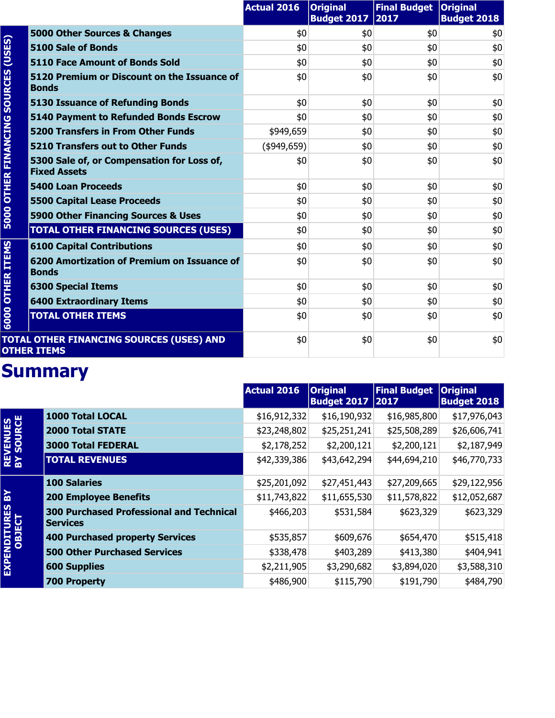|                        |                                                                       | <b>Actual 2016</b> | <b>Original</b><br><b>Budget 2017</b> | Final Budget   Original<br>2017 | <b>Budget 2018</b> |
|------------------------|-----------------------------------------------------------------------|--------------------|---------------------------------------|---------------------------------|--------------------|
|                        | 5000 Other Sources & Changes                                          | \$0                | \$0                                   | \$0                             | \$0                |
| (USES)                 | 5100 Sale of Bonds                                                    | \$0                | \$0                                   | \$0                             | \$0                |
|                        | <b>5110 Face Amount of Bonds Sold</b>                                 | \$0                | \$0                                   | \$0                             | \$0                |
| <b>SOURCES</b>         | 5120 Premium or Discount on the Issuance of<br><b>Bonds</b>           | \$0                | \$0                                   | \$0                             | \$0                |
|                        | <b>5130 Issuance of Refunding Bonds</b>                               | \$0                | \$0                                   | \$0                             | \$0                |
|                        | <b>5140 Payment to Refunded Bonds Escrow</b>                          | \$0                | \$0                                   | \$0                             | \$0                |
|                        | <b>5200 Transfers in From Other Funds</b>                             | \$949,659          | \$0                                   | \$0                             | \$0                |
|                        | <b>5210 Transfers out to Other Funds</b>                              | (\$949,659)        | \$0                                   | \$0                             | \$0                |
| <b>OTHER FINANCING</b> | 5300 Sale of, or Compensation for Loss of,<br><b>Fixed Assets</b>     | \$0                | \$0                                   | \$0                             | \$0                |
|                        | <b>5400 Loan Proceeds</b>                                             | \$0                | \$0                                   | \$0                             | \$0                |
|                        | <b>5500 Capital Lease Proceeds</b>                                    | \$0                | \$0                                   | \$0                             | \$0                |
| 5000                   | 5900 Other Financing Sources & Uses                                   | \$0                | \$0                                   | \$0                             | \$0                |
|                        | <b>TOTAL OTHER FINANCING SOURCES (USES)</b>                           | \$0                | \$0                                   | \$0                             | \$0                |
|                        | <b>6100 Capital Contributions</b>                                     | \$0                | \$0                                   | \$0                             | \$0                |
| <b>OTHER ITEMS</b>     | 6200 Amortization of Premium on Issuance of<br><b>Bonds</b>           | \$0                | \$0                                   | \$0                             | \$0                |
|                        | <b>6300 Special Items</b>                                             | \$0                | \$0                                   | \$0                             | \$0                |
|                        | <b>6400 Extraordinary Items</b>                                       | \$0                | \$0                                   | \$0                             | \$0                |
| 6000                   | <b>TOTAL OTHER ITEMS</b>                                              | \$0                | \$0                                   | \$0                             | \$0                |
|                        | <b>TOTAL OTHER FINANCING SOURCES (USES) AND</b><br><b>OTHER ITEMS</b> | \$0                | \$0                                   | \$0                             | \$0                |

|                               |                                                                    | <b>Actual 2016</b> | <b>Original</b><br><b>Budget 2017 2017</b> | <b>Final Budget</b> | <b>Original</b><br><b>Budget 2018</b> |
|-------------------------------|--------------------------------------------------------------------|--------------------|--------------------------------------------|---------------------|---------------------------------------|
|                               | 1000 Total LOCAL                                                   | \$16,912,332       | \$16,190,932                               | \$16,985,800        | \$17,976,043                          |
|                               | <b>2000 Total STATE</b>                                            | \$23,248,802       | \$25,251,241                               | \$25,508,289        | \$26,606,741                          |
|                               | <b>3000 Total FEDERAL</b>                                          | \$2,178,252        | \$2,200,121                                | \$2,200,121         | \$2,187,949                           |
| <b>REVENUES<br/>BY SOURCE</b> | <b>TOTAL REVENUES</b>                                              | \$42,339,386       | \$43,642,294                               | \$44,694,210        | \$46,770,733                          |
|                               | <b>100 Salaries</b>                                                | \$25,201,092       | \$27,451,443                               | \$27,209,665        | \$29,122,956                          |
| ଛ                             | <b>200 Employee Benefits</b>                                       | \$11,743,822       | \$11,655,530                               | \$11,578,822        | \$12,052,687                          |
| EXPENDITURES<br>OBJECT        | <b>300 Purchased Professional and Technical</b><br><b>Services</b> | \$466,203          | \$531,584                                  | \$623,329           | \$623,329                             |
|                               | 400 Purchased property Services                                    | \$535,857          | \$609,676                                  | \$654,470           | \$515,418                             |
|                               | <b>500 Other Purchased Services</b>                                | \$338,478          | \$403,289                                  | \$413,380           | \$404,941                             |
|                               | <b>600 Supplies</b>                                                | \$2,211,905        | \$3,290,682                                | \$3,894,020         | \$3,588,310                           |
|                               | <b>700 Property</b>                                                | \$486,900          | \$115,790                                  | \$191,790           | \$484,790                             |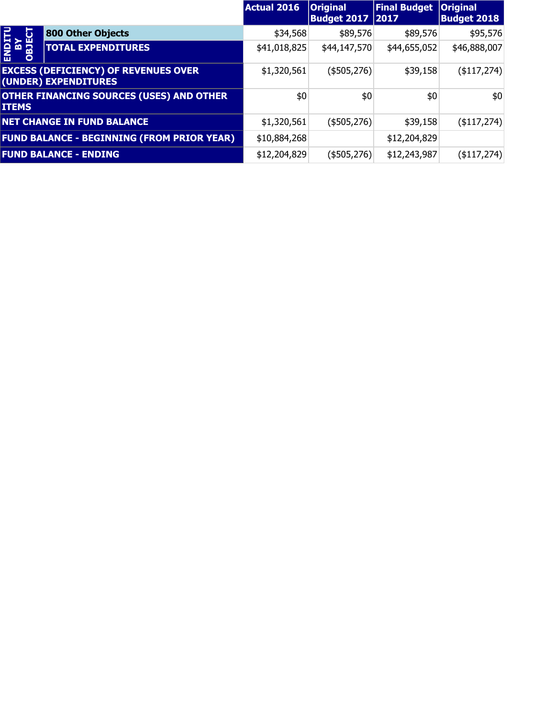|                            |                                                                     | <b>Actual 2016</b> | <b>Original</b><br><b>Budget 2017 2017</b> | <b>Final Budget</b> | <b>Original</b><br><b>Budget 2018</b> |
|----------------------------|---------------------------------------------------------------------|--------------------|--------------------------------------------|---------------------|---------------------------------------|
| ن                          | 800 Other Objects                                                   | \$34,568           | \$89,576                                   | \$89,576            | \$95,576                              |
| <b>SIGO</b><br><b>ASIC</b> | <b>TOTAL EXPENDITURES</b>                                           | \$41,018,825       | \$44,147,570                               | \$44,655,052        | \$46,888,007                          |
|                            | <b>EXCESS (DEFICIENCY) OF REVENUES OVER</b><br>(UNDER) EXPENDITURES | \$1,320,561        | (\$505,276)                                | \$39,158            | $($ \$117,274) $ $                    |
| <b>ITEMS</b>               | <b>OTHER FINANCING SOURCES (USES) AND OTHER</b>                     | \$0                | \$0                                        | \$0                 | \$0                                   |
|                            | <b>NET CHANGE IN FUND BALANCE</b>                                   | \$1,320,561        | (\$505,276)                                | \$39,158            | $($ \$117,274) $ $                    |
|                            | <b>FUND BALANCE - BEGINNING (FROM PRIOR YEAR)</b>                   | \$10,884,268       |                                            | \$12,204,829        |                                       |
|                            | <b>FUND BALANCE - ENDING</b>                                        | \$12,204,829       | (\$505,276)                                | \$12,243,987        | $($ \$117,274) $ $                    |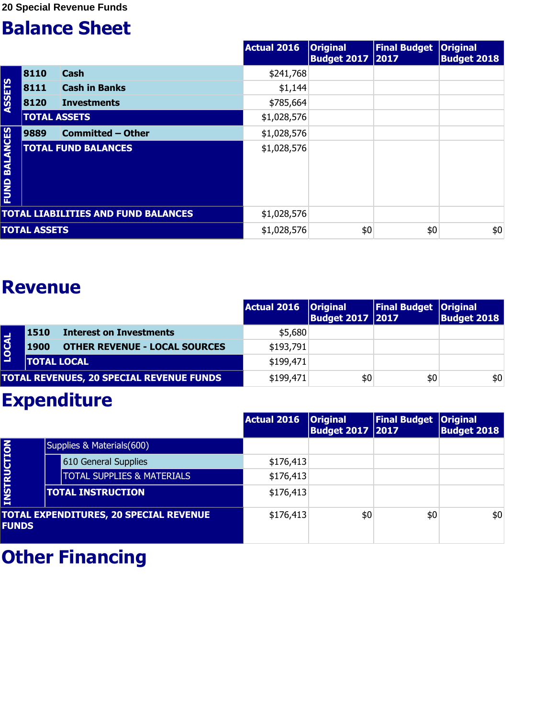|                         |                     |                                            | <b>Actual 2016</b> | <b>Original</b><br><b>Budget 2017 2017</b> | <b>Final Budget</b> | <b>Original</b><br><b>Budget 2018</b> |
|-------------------------|---------------------|--------------------------------------------|--------------------|--------------------------------------------|---------------------|---------------------------------------|
|                         | 8110                | <b>Cash</b>                                | \$241,768          |                                            |                     |                                       |
|                         | 8111                | <b>Cash in Banks</b>                       | \$1,144            |                                            |                     |                                       |
| ASSETS                  | 8120                | <b>Investments</b>                         | \$785,664          |                                            |                     |                                       |
|                         | <b>TOTAL ASSETS</b> |                                            | \$1,028,576        |                                            |                     |                                       |
|                         | 9889                | <b>Committed - Other</b>                   | \$1,028,576        |                                            |                     |                                       |
| <b>BALANCES</b><br>FUND |                     | <b>TOTAL FUND BALANCES</b>                 | \$1,028,576        |                                            |                     |                                       |
|                         |                     | <b>TOTAL LIABILITIES AND FUND BALANCES</b> | \$1,028,576        |                                            |                     |                                       |
|                         | <b>TOTAL ASSETS</b> |                                            | \$1,028,576        | \$0                                        | \$0                 | \$0                                   |

#### **Revenue**

|       |                    |                                                 | Actual 2016   Original | <b>Budget 2017 2017</b> | <b>Final Budget Original</b> | <b>Budget 2018</b> |
|-------|--------------------|-------------------------------------------------|------------------------|-------------------------|------------------------------|--------------------|
|       | <b>1510</b>        | <b>Interest on Investments</b>                  | \$5,680                |                         |                              |                    |
| LOCAL | 1900               | <b>OTHER REVENUE - LOCAL SOURCES</b>            | \$193,791              |                         |                              |                    |
|       | <b>TOTAL LOCAL</b> |                                                 | \$199,471              |                         |                              |                    |
|       |                    | <b>TOTAL REVENUES, 20 SPECIAL REVENUE FUNDS</b> | \$199,471              | \$0                     | \$0                          | \$0                |

#### **Expenditure**

|              |                                               | <b>Actual 2016</b> | <b>Original</b><br><b>Budget 2017 2017</b> | <b>Final Budget Original</b> | <b>Budget 2018</b> |
|--------------|-----------------------------------------------|--------------------|--------------------------------------------|------------------------------|--------------------|
|              | Supplies & Materials(600)                     |                    |                                            |                              |                    |
|              | 610 General Supplies                          | \$176,413          |                                            |                              |                    |
|              | <b>TOTAL SUPPLIES &amp; MATERIALS</b>         | \$176,413          |                                            |                              |                    |
| INSTRUCTION  | <b>TOTAL INSTRUCTION</b>                      | \$176,413          |                                            |                              |                    |
| <b>FUNDS</b> | <b>TOTAL EXPENDITURES, 20 SPECIAL REVENUE</b> | \$176,413          | \$0                                        | \$0                          | \$0                |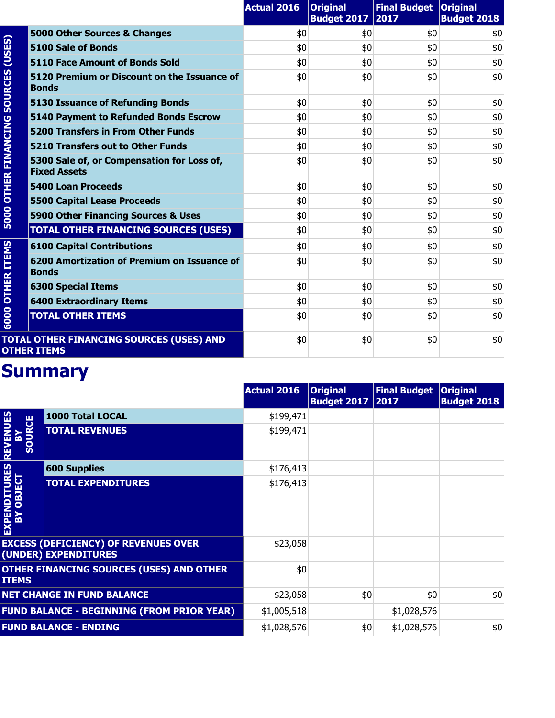|                        |                                                                   | <b>Actual 2016</b> | <b>Original</b><br><b>Budget 2017</b> | Final Budget   Original<br>2017 | <b>Budget 2018</b> |
|------------------------|-------------------------------------------------------------------|--------------------|---------------------------------------|---------------------------------|--------------------|
| (USES)                 | 5000 Other Sources & Changes                                      | \$0                | \$0                                   | \$0                             | \$0                |
|                        | 5100 Sale of Bonds                                                | \$0                | \$0                                   | \$0                             | \$0                |
|                        | <b>5110 Face Amount of Bonds Sold</b>                             | \$0                | \$0                                   | \$0                             | \$0                |
| <b>SOURCES</b>         | 5120 Premium or Discount on the Issuance of<br><b>Bonds</b>       | \$0                | \$0                                   | \$0                             | \$0                |
|                        | <b>5130 Issuance of Refunding Bonds</b>                           | \$0                | \$0                                   | \$0                             | \$0                |
|                        | <b>5140 Payment to Refunded Bonds Escrow</b>                      | \$0                | \$0                                   | \$0                             | \$0                |
|                        | <b>5200 Transfers in From Other Funds</b>                         | \$0                | \$0                                   | \$0                             | \$0                |
|                        | 5210 Transfers out to Other Funds                                 | \$0                | \$0                                   | \$0                             | \$0                |
| <b>OTHER FINANCING</b> | 5300 Sale of, or Compensation for Loss of,<br><b>Fixed Assets</b> | \$0                | \$0                                   | \$0                             | \$0                |
|                        | <b>5400 Loan Proceeds</b>                                         | \$0                | \$0                                   | \$0                             | \$0                |
|                        | <b>5500 Capital Lease Proceeds</b>                                | \$0                | \$0                                   | \$0                             | \$0                |
| 5000                   | 5900 Other Financing Sources & Uses                               | \$0                | \$0                                   | \$0                             | \$0                |
|                        | <b>TOTAL OTHER FINANCING SOURCES (USES)</b>                       | \$0                | \$0                                   | \$0                             | \$0                |
|                        | <b>6100 Capital Contributions</b>                                 | \$0                | \$0                                   | \$0                             | \$0                |
| <b>OTHER ITEMS</b>     | 6200 Amortization of Premium on Issuance of<br><b>Bonds</b>       | \$0                | \$0                                   | \$0                             | \$0                |
|                        | <b>6300 Special Items</b>                                         | \$0                | \$0                                   | \$0                             | \$0                |
|                        | <b>6400 Extraordinary Items</b>                                   | \$0                | \$0                                   | \$0                             | \$0                |
| 6000                   | <b>TOTAL OTHER ITEMS</b>                                          | \$0                | \$0                                   | \$0                             | \$0                |
|                        | TOTAL OTHER FINANCING SOURCES (USES) AND<br><b>OTHER ITEMS</b>    | \$0                | \$0                                   | \$0                             | \$0                |

|                                               |                                                                     | <b>Actual 2016</b> | <b>Original</b><br><b>Budget 2017 2017</b> | <b>Final Budget</b> | <b>Original</b><br><b>Budget 2018</b> |
|-----------------------------------------------|---------------------------------------------------------------------|--------------------|--------------------------------------------|---------------------|---------------------------------------|
|                                               | <b>1000 Total LOCAL</b>                                             | \$199,471          |                                            |                     |                                       |
| <b>REVENUES</b><br><b>SOURCE</b><br><u>îm</u> | <b>TOTAL REVENUES</b>                                               | \$199,471          |                                            |                     |                                       |
|                                               | <b>600 Supplies</b>                                                 | \$176,413          |                                            |                     |                                       |
| EXPENDITURES<br>BY OBJECT                     | <b>TOTAL EXPENDITURES</b>                                           | \$176,413          |                                            |                     |                                       |
|                                               | <b>EXCESS (DEFICIENCY) OF REVENUES OVER</b><br>(UNDER) EXPENDITURES | \$23,058           |                                            |                     |                                       |
| <b>ITEMS</b>                                  | <b>OTHER FINANCING SOURCES (USES) AND OTHER</b>                     | \$0                |                                            |                     |                                       |
|                                               | <b>NET CHANGE IN FUND BALANCE</b>                                   | \$23,058           | \$0                                        | \$0                 | \$0                                   |
|                                               | <b>FUND BALANCE - BEGINNING (FROM PRIOR YEAR)</b>                   | \$1,005,518        |                                            | \$1,028,576         |                                       |
|                                               | <b>FUND BALANCE - ENDING</b>                                        | \$1,028,576        | \$0                                        | \$1,028,576         | \$0                                   |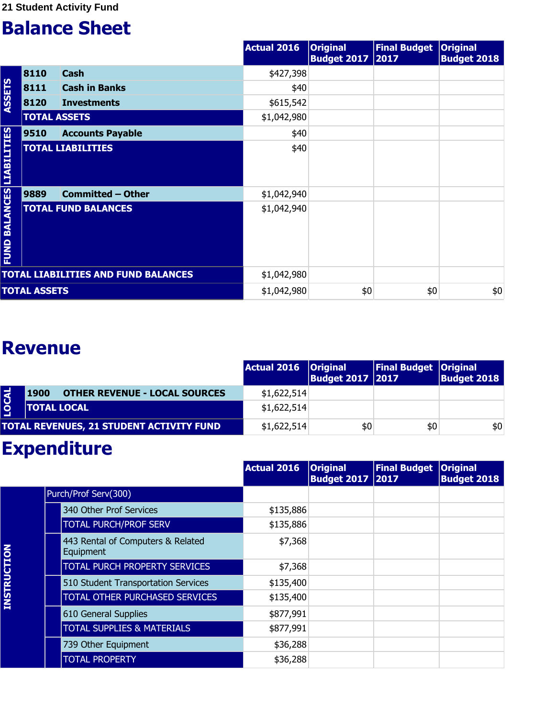|                                  |                     |                                            | <b>Actual 2016</b> | <b>Original</b><br><b>Budget 2017 2017</b> | <b>Final Budget</b> | <b>Original</b><br><b>Budget 2018</b> |
|----------------------------------|---------------------|--------------------------------------------|--------------------|--------------------------------------------|---------------------|---------------------------------------|
|                                  | 8110                | <b>Cash</b>                                | \$427,398          |                                            |                     |                                       |
|                                  | 8111                | <b>Cash in Banks</b>                       | \$40               |                                            |                     |                                       |
| <b>ASSETS</b>                    | 8120                | <b>Investments</b>                         | \$615,542          |                                            |                     |                                       |
|                                  | <b>TOTAL ASSETS</b> |                                            | \$1,042,980        |                                            |                     |                                       |
|                                  | 9510                | <b>Accounts Payable</b>                    | \$40               |                                            |                     |                                       |
|                                  |                     | <b>TOTAL LIABILITIES</b>                   | \$40               |                                            |                     |                                       |
|                                  | 9889                | <b>Committed - Other</b>                   | \$1,042,940        |                                            |                     |                                       |
| <b>FUND BALANCES LIABILITIES</b> |                     | <b>TOTAL FUND BALANCES</b>                 | \$1,042,940        |                                            |                     |                                       |
|                                  |                     | <b>TOTAL LIABILITIES AND FUND BALANCES</b> | \$1,042,980        |                                            |                     |                                       |
|                                  | <b>TOTAL ASSETS</b> |                                            | \$1,042,980        | \$0                                        | \$0                 | \$0                                   |

#### **Revenue**

|             |                                              | Actual 2016   Original | <b>Budget 2017   2017</b> | Final Budget   Original | <b>Budget 2018</b> |
|-------------|----------------------------------------------|------------------------|---------------------------|-------------------------|--------------------|
| <b>OCAL</b> | <b>OTHER REVENUE - LOCAL SOURCES</b><br>1900 | \$1,622,514            |                           |                         |                    |
|             | <b>TOTAL LOCAL</b>                           | \$1,622,514            |                           |                         |                    |
|             | TOTAL REVENUES, 21 STUDENT ACTIVITY FUND     | \$1,622,514            | \$0                       | \$0                     | \$0                |

|                    |                                                | <b>Actual 2016</b> | <b>Original</b><br><b>Budget 2017 2017</b> | <b>Final Budget</b> | <b>Original</b><br><b>Budget 2018</b> |
|--------------------|------------------------------------------------|--------------------|--------------------------------------------|---------------------|---------------------------------------|
|                    | Purch/Prof Serv(300)                           |                    |                                            |                     |                                       |
|                    | 340 Other Prof Services                        | \$135,886          |                                            |                     |                                       |
|                    | <b>TOTAL PURCH/PROF SERV</b>                   | \$135,886          |                                            |                     |                                       |
|                    | 443 Rental of Computers & Related<br>Equipment | \$7,368            |                                            |                     |                                       |
|                    | <b>TOTAL PURCH PROPERTY SERVICES</b>           | \$7,368            |                                            |                     |                                       |
|                    | 510 Student Transportation Services            | \$135,400          |                                            |                     |                                       |
| <b>INSTRUCTION</b> | TOTAL OTHER PURCHASED SERVICES                 | \$135,400          |                                            |                     |                                       |
|                    | 610 General Supplies                           | \$877,991          |                                            |                     |                                       |
|                    | <b>TOTAL SUPPLIES &amp; MATERIALS</b>          | \$877,991          |                                            |                     |                                       |
|                    | 739 Other Equipment                            | \$36,288           |                                            |                     |                                       |
|                    | <b>TOTAL PROPERTY</b>                          | \$36,288           |                                            |                     |                                       |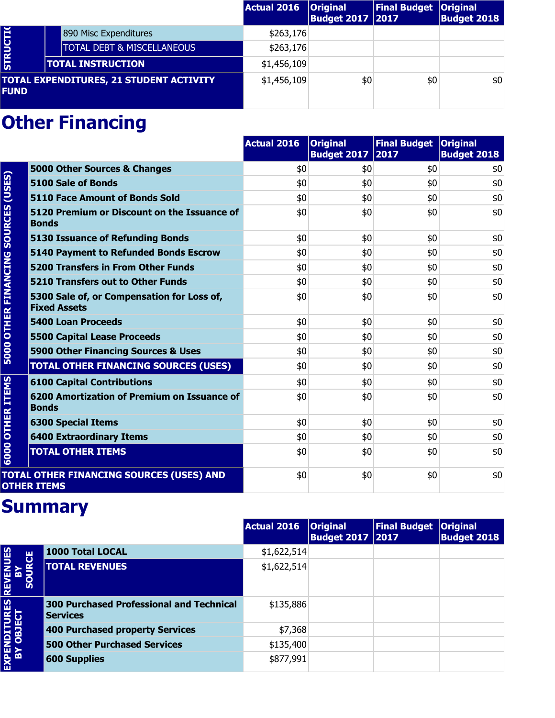|                 |                                                | Actual 2016 | <b>Original</b><br><b>Budget 2017 2017</b> | Final Budget   Original | <b>Budget 2018</b> |
|-----------------|------------------------------------------------|-------------|--------------------------------------------|-------------------------|--------------------|
|                 | 890 Misc Expenditures                          | \$263,176   |                                            |                         |                    |
| <b>STRUCTIO</b> | <b>TOTAL DEBT &amp; MISCELLANEOUS</b>          | \$263,176   |                                            |                         |                    |
|                 | <b>TOTAL INSTRUCTION</b>                       | \$1,456,109 |                                            |                         |                    |
| <b>FUND</b>     | <b>TOTAL EXPENDITURES, 21 STUDENT ACTIVITY</b> | \$1,456,109 | \$0                                        | \$0                     | \$0                |

|                             |                                                                   | <b>Actual 2016</b> | <b>Original</b><br><b>Budget 2017</b> | Final Budget   Original<br>2017 | <b>Budget 2018</b> |
|-----------------------------|-------------------------------------------------------------------|--------------------|---------------------------------------|---------------------------------|--------------------|
|                             | 5000 Other Sources & Changes                                      | \$0                | \$0                                   | \$0                             | \$0                |
|                             | <b>5100 Sale of Bonds</b>                                         | \$0                | \$0                                   | \$0                             | \$0                |
| (USES)                      | 5110 Face Amount of Bonds Sold                                    | \$0                | \$0                                   | \$0                             | \$0                |
| <b>SOURCES</b>              | 5120 Premium or Discount on the Issuance of<br><b>Bonds</b>       | \$0                | \$0                                   | \$0                             | \$0                |
|                             | <b>5130 Issuance of Refunding Bonds</b>                           | \$0                | \$0                                   | \$0                             | \$0                |
|                             | <b>5140 Payment to Refunded Bonds Escrow</b>                      | \$0                | \$0                                   | \$0                             | \$0                |
|                             | 5200 Transfers in From Other Funds                                | \$0                | \$0                                   | \$0                             | \$0                |
|                             | <b>5210 Transfers out to Other Funds</b>                          | \$0                | \$0                                   | \$0                             | \$0                |
| <b>5000 OTHER FINANCING</b> | 5300 Sale of, or Compensation for Loss of,<br><b>Fixed Assets</b> | \$0                | \$0                                   | \$0                             | \$0                |
|                             | <b>5400 Loan Proceeds</b>                                         | \$0                | \$0                                   | \$0                             | \$0                |
|                             | <b>5500 Capital Lease Proceeds</b>                                | \$0                | \$0                                   | \$0                             | \$0                |
|                             | 5900 Other Financing Sources & Uses                               | \$0                | \$0                                   | \$0                             | \$0                |
|                             | <b>TOTAL OTHER FINANCING SOURCES (USES)</b>                       | \$0                | \$0                                   | \$0                             | \$0                |
|                             | <b>6100 Capital Contributions</b>                                 | \$0                | \$0                                   | \$0                             | \$0                |
| <b>OTHER ITEMS</b>          | 6200 Amortization of Premium on Issuance of<br><b>Bonds</b>       | \$0                | \$0                                   | \$0                             | \$0                |
|                             | <b>6300 Special Items</b>                                         | \$0                | \$0                                   | \$0                             | \$0                |
|                             | <b>6400 Extraordinary Items</b>                                   | \$0                | \$0                                   | \$0                             | \$0                |
| 6000                        | <b>TOTAL OTHER ITEMS</b>                                          | \$0                | \$0                                   | \$0                             | \$0                |
|                             | TOTAL OTHER FINANCING SOURCES (USES) AND<br><b>OTHER ITEMS</b>    | \$0                | \$0                                   | \$0                             | \$0                |

|                                        |                                                                    | <b>Actual 2016</b> | <b>Original</b><br><b>Budget 2017   2017</b> | <b>Final Budget</b> | <b>Original</b><br><b>Budget 2018</b> |
|----------------------------------------|--------------------------------------------------------------------|--------------------|----------------------------------------------|---------------------|---------------------------------------|
| <b>REVENUES<br/>BY<br/>SOURCE</b><br>S | 1000 Total LOCAL                                                   | \$1,622,514        |                                              |                     |                                       |
|                                        | <b>TOTAL REVENUES</b>                                              | \$1,622,514        |                                              |                     |                                       |
| EXPENDITURES                           | <b>300 Purchased Professional and Technical</b><br><b>Services</b> | \$135,886          |                                              |                     |                                       |
|                                        | 400 Purchased property Services                                    | \$7,368            |                                              |                     |                                       |
|                                        | <b>500 Other Purchased Services</b>                                | \$135,400          |                                              |                     |                                       |
|                                        | <b>600 Supplies</b>                                                | \$877,991          |                                              |                     |                                       |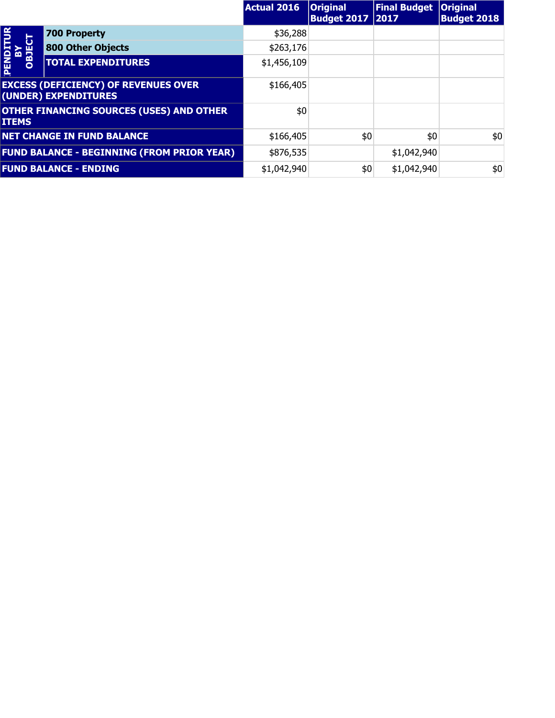|                      |                                                                     | <b>Actual 2016</b> | <b>Original</b><br><b>Budget 2017   2017</b> | <b>Final Budget</b> | <b>Original</b><br><b>Budget 2018</b> |
|----------------------|---------------------------------------------------------------------|--------------------|----------------------------------------------|---------------------|---------------------------------------|
| $\overline{P}$       | <b>700 Property</b>                                                 | \$36,288           |                                              |                     |                                       |
| <b>BY<br/>OBJECT</b> | <b>800 Other Objects</b>                                            | \$263,176          |                                              |                     |                                       |
| <b>PEN</b>           | <b>TOTAL EXPENDITURES</b>                                           | \$1,456,109        |                                              |                     |                                       |
|                      | <b>EXCESS (DEFICIENCY) OF REVENUES OVER</b><br>(UNDER) EXPENDITURES | \$166,405          |                                              |                     |                                       |
| <b>ITEMS</b>         | <b>OTHER FINANCING SOURCES (USES) AND OTHER</b>                     | \$0                |                                              |                     |                                       |
|                      | <b>NET CHANGE IN FUND BALANCE</b>                                   | \$166,405          | \$0                                          | \$0                 | \$0                                   |
|                      | <b>FUND BALANCE - BEGINNING (FROM PRIOR YEAR)</b>                   | \$876,535          |                                              | \$1,042,940         |                                       |
|                      | <b>FUND BALANCE - ENDING</b>                                        | \$1,042,940        | \$0                                          | \$1,042,940         | \$0                                   |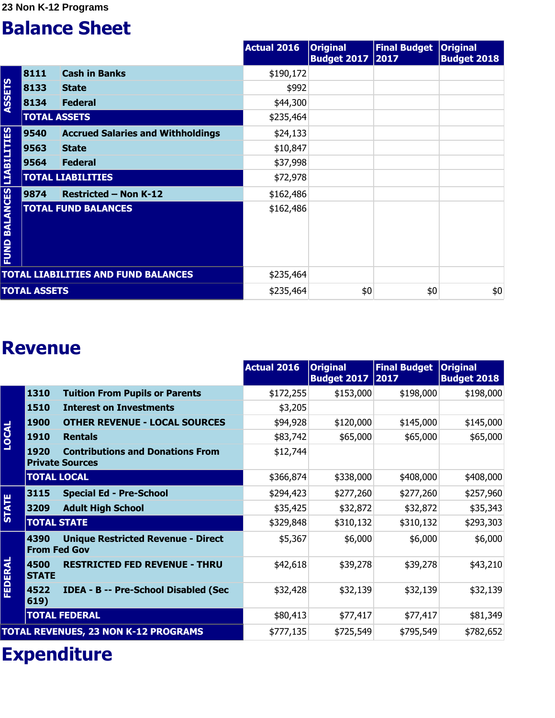**23 Non K-12 Programs**

#### **Balance Sheet**

|                                  |                     |                                            | <b>Actual 2016</b> | <b>Original</b><br><b>Budget 2017 2017</b> | <b>Final Budget</b> | <b>Original</b><br><b>Budget 2018</b> |
|----------------------------------|---------------------|--------------------------------------------|--------------------|--------------------------------------------|---------------------|---------------------------------------|
|                                  | 8111                | <b>Cash in Banks</b>                       | \$190,172          |                                            |                     |                                       |
|                                  | 8133                | <b>State</b>                               | \$992              |                                            |                     |                                       |
| <b>ASSETS</b>                    | 8134                | <b>Federal</b>                             | \$44,300           |                                            |                     |                                       |
|                                  | <b>TOTAL ASSETS</b> |                                            | \$235,464          |                                            |                     |                                       |
|                                  | 9540                | <b>Accrued Salaries and Withholdings</b>   | \$24,133           |                                            |                     |                                       |
|                                  | 9563                | <b>State</b>                               | \$10,847           |                                            |                     |                                       |
|                                  | 9564                | <b>Federal</b>                             | \$37,998           |                                            |                     |                                       |
|                                  |                     | <b>TOTAL LIABILITIES</b>                   | \$72,978           |                                            |                     |                                       |
|                                  | 9874                | <b>Restricted - Non K-12</b>               | \$162,486          |                                            |                     |                                       |
| <b>FUND BALANCES LIABILITIES</b> |                     | <b>TOTAL FUND BALANCES</b>                 | \$162,486          |                                            |                     |                                       |
|                                  |                     | <b>TOTAL LIABILITIES AND FUND BALANCES</b> | \$235,464          |                                            |                     |                                       |
|                                  | <b>TOTAL ASSETS</b> |                                            | \$235,464          | \$0                                        | \$0                 | \$0                                   |

#### **Revenue**

|              |                             |                                                                   | <b>Actual 2016</b> | <b>Original</b><br><b>Budget 2017</b> | <b>Final Budget</b><br> 2017 | <b>Original</b><br><b>Budget 2018</b> |
|--------------|-----------------------------|-------------------------------------------------------------------|--------------------|---------------------------------------|------------------------------|---------------------------------------|
|              | 1310                        | <b>Tuition From Pupils or Parents</b>                             | \$172,255          | \$153,000                             | \$198,000                    | \$198,000                             |
|              | 1510                        | <b>Interest on Investments</b>                                    | \$3,205            |                                       |                              |                                       |
|              | <b>1900</b>                 | <b>OTHER REVENUE - LOCAL SOURCES</b>                              | \$94,928           | \$120,000                             | \$145,000                    | \$145,000                             |
| <b>LOCAL</b> | 1910                        | <b>Rentals</b>                                                    | \$83,742           | \$65,000                              | \$65,000                     | \$65,000                              |
|              | 1920                        | <b>Contributions and Donations From</b><br><b>Private Sources</b> | \$12,744           |                                       |                              |                                       |
|              | <b>TOTAL LOCAL</b>          |                                                                   | \$366,874          | \$338,000                             | \$408,000                    | \$408,000                             |
|              | 3115                        | <b>Special Ed - Pre-School</b>                                    | \$294,423          | \$277,260                             | \$277,260                    | \$257,960                             |
| <b>STATE</b> | 3209                        | <b>Adult High School</b>                                          | \$35,425           | \$32,872                              | \$32,872                     | \$35,343                              |
|              | <b>TOTAL STATE</b>          |                                                                   | \$329,848          | \$310,132                             | \$310,132                    | \$293,303                             |
|              | 4390<br><b>From Fed Gov</b> | <b>Unique Restricted Revenue - Direct</b>                         | \$5,367            | \$6,000                               | \$6,000                      | \$6,000                               |
| FEDERAL      | 4500<br><b>STATE</b>        | <b>RESTRICTED FED REVENUE - THRU</b>                              | \$42,618           | \$39,278                              | \$39,278                     | \$43,210                              |
|              | 4522<br>619)                | IDEA - B -- Pre-School Disabled (Sec                              | \$32,428           | \$32,139                              | \$32,139                     | \$32,139                              |
|              |                             | <b>TOTAL FEDERAL</b>                                              | \$80,413           | \$77,417                              | \$77,417                     | \$81,349                              |
|              |                             | <b>TOTAL REVENUES, 23 NON K-12 PROGRAMS</b>                       | \$777,135          | \$725,549                             | \$795,549                    | \$782,652                             |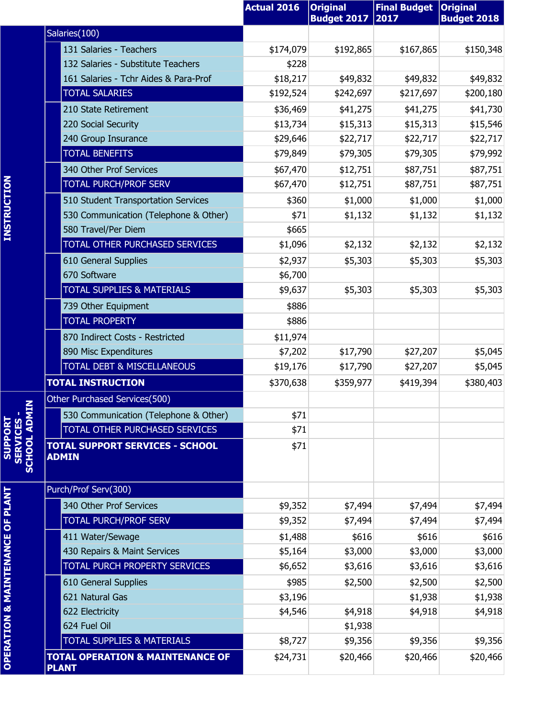|                                   |                                                             | <b>Actual 2016</b> | <b>Original</b><br><b>Budget 2017</b> | <b>Final Budget</b><br>2017 | <b>Original</b><br><b>Budget 2018</b> |
|-----------------------------------|-------------------------------------------------------------|--------------------|---------------------------------------|-----------------------------|---------------------------------------|
|                                   | Salaries(100)                                               |                    |                                       |                             |                                       |
|                                   | 131 Salaries - Teachers                                     | \$174,079          | \$192,865                             | \$167,865                   | \$150,348                             |
|                                   | 132 Salaries - Substitute Teachers                          | \$228              |                                       |                             |                                       |
|                                   | 161 Salaries - Tchr Aides & Para-Prof                       | \$18,217           | \$49,832                              | \$49,832                    | \$49,832                              |
|                                   | <b>TOTAL SALARIES</b>                                       | \$192,524          | \$242,697                             | \$217,697                   | \$200,180                             |
|                                   | 210 State Retirement                                        | \$36,469           | \$41,275                              | \$41,275                    | \$41,730                              |
|                                   | 220 Social Security                                         | \$13,734           | \$15,313                              | \$15,313                    | \$15,546                              |
|                                   | 240 Group Insurance                                         | \$29,646           | \$22,717                              | \$22,717                    | \$22,717                              |
|                                   | <b>TOTAL BENEFITS</b>                                       | \$79,849           | \$79,305                              | \$79,305                    | \$79,992                              |
|                                   | 340 Other Prof Services                                     | \$67,470           | \$12,751                              | \$87,751                    | \$87,751                              |
|                                   | <b>TOTAL PURCH/PROF SERV</b>                                | \$67,470           | \$12,751                              | \$87,751                    | \$87,751                              |
|                                   | 510 Student Transportation Services                         | \$360              | \$1,000                               | \$1,000                     | \$1,000                               |
|                                   | 530 Communication (Telephone & Other)                       | \$71               | \$1,132                               | \$1,132                     | \$1,132                               |
|                                   | 580 Travel/Per Diem                                         | \$665              |                                       |                             |                                       |
|                                   | TOTAL OTHER PURCHASED SERVICES                              | \$1,096            | \$2,132                               | \$2,132                     | \$2,132                               |
|                                   | 610 General Supplies                                        | \$2,937            | \$5,303                               | \$5,303                     | \$5,303                               |
|                                   | 670 Software                                                | \$6,700            |                                       |                             |                                       |
|                                   | TOTAL SUPPLIES & MATERIALS                                  | \$9,637            | \$5,303                               | \$5,303                     | \$5,303                               |
|                                   | 739 Other Equipment                                         | \$886              |                                       |                             |                                       |
|                                   | <b>TOTAL PROPERTY</b>                                       | \$886              |                                       |                             |                                       |
|                                   | 870 Indirect Costs - Restricted                             | \$11,974           |                                       |                             |                                       |
|                                   | 890 Misc Expenditures                                       | \$7,202            | \$17,790                              | \$27,207                    | \$5,045                               |
|                                   | TOTAL DEBT & MISCELLANEOUS                                  | \$19,176           | \$17,790                              | \$27,207                    | \$5,045                               |
|                                   | <b>TOTAL INSTRUCTION</b>                                    | \$370,638          | \$359,977                             | \$419,394                   | \$380,403                             |
| z                                 | Other Purchased Services(500)                               |                    |                                       |                             |                                       |
|                                   | 530 Communication (Telephone & Other)                       | \$71               |                                       |                             |                                       |
|                                   | TOTAL OTHER PURCHASED SERVICES                              | \$71               |                                       |                             |                                       |
| <b>SERVICES -<br/>SCHOOL ADMI</b> | <b>TOTAL SUPPORT SERVICES - SCHOOL</b><br><b>ADMIN</b>      | \$71               |                                       |                             |                                       |
|                                   | Purch/Prof Serv(300)                                        |                    |                                       |                             |                                       |
|                                   | 340 Other Prof Services                                     | \$9,352            | \$7,494                               | \$7,494                     | \$7,494                               |
|                                   | <b>TOTAL PURCH/PROF SERV</b>                                | \$9,352            | \$7,494                               | \$7,494                     | \$7,494                               |
|                                   | 411 Water/Sewage                                            | \$1,488            | \$616                                 | \$616                       | \$616                                 |
|                                   | 430 Repairs & Maint Services                                | \$5,164            | \$3,000                               | \$3,000                     | \$3,000                               |
|                                   | TOTAL PURCH PROPERTY SERVICES                               | \$6,652            | \$3,616                               | \$3,616                     | \$3,616                               |
|                                   | 610 General Supplies                                        | \$985              | \$2,500                               | \$2,500                     | \$2,500                               |
|                                   | 621 Natural Gas                                             | \$3,196            |                                       | \$1,938                     | \$1,938                               |
|                                   | 622 Electricity                                             | \$4,546            | \$4,918                               | \$4,918                     | \$4,918                               |
|                                   | 624 Fuel Oil                                                |                    | \$1,938                               |                             |                                       |
|                                   | TOTAL SUPPLIES & MATERIALS                                  | \$8,727            | \$9,356                               | \$9,356                     | \$9,356                               |
|                                   | <b>TOTAL OPERATION &amp; MAINTENANCE OF</b><br><b>PLANT</b> | \$24,731           | \$20,466                              | \$20,466                    | \$20,466                              |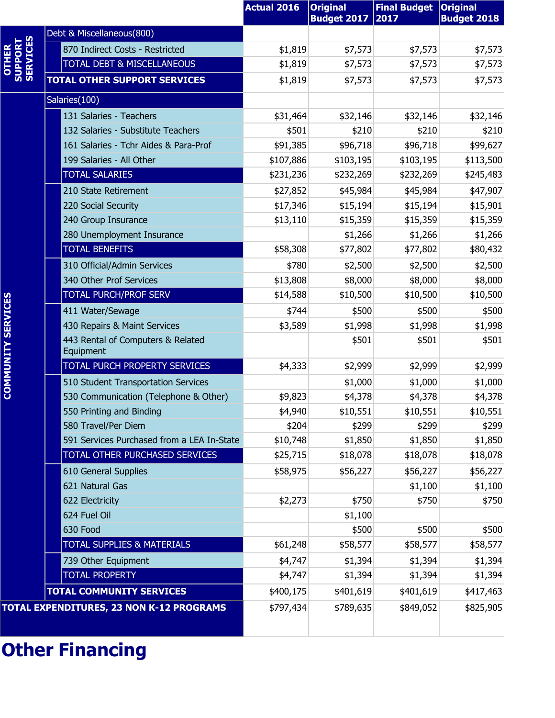|                           |                                                | <b>Actual 2016</b> | <b>Original</b><br><b>Budget 2017</b> | <b>Final Budget</b><br>2017 | <b>Original</b><br><b>Budget 2018</b> |
|---------------------------|------------------------------------------------|--------------------|---------------------------------------|-----------------------------|---------------------------------------|
|                           | Debt & Miscellaneous(800)                      |                    |                                       |                             |                                       |
| SUPPORT<br><b>OTHER</b>   | 870 Indirect Costs - Restricted                | \$1,819            | \$7,573                               | \$7,573                     | \$7,573                               |
|                           | TOTAL DEBT & MISCELLANEOUS                     | \$1,819            | \$7,573                               | \$7,573                     | \$7,573                               |
|                           | <b>TOTAL OTHER SUPPORT SERVICES</b>            | \$1,819            | \$7,573                               | \$7,573                     | \$7,573                               |
|                           | Salaries(100)                                  |                    |                                       |                             |                                       |
|                           | 131 Salaries - Teachers                        | \$31,464           | \$32,146                              | \$32,146                    | \$32,146                              |
|                           | 132 Salaries - Substitute Teachers             | \$501              | \$210                                 | \$210                       | \$210                                 |
|                           | 161 Salaries - Tchr Aides & Para-Prof          | \$91,385           | \$96,718                              | \$96,718                    | \$99,627                              |
|                           | 199 Salaries - All Other                       | \$107,886          | \$103,195                             | \$103,195                   | \$113,500                             |
|                           | <b>TOTAL SALARIES</b>                          | \$231,236          | \$232,269                             | \$232,269                   | \$245,483                             |
|                           | 210 State Retirement                           | \$27,852           | \$45,984                              | \$45,984                    | \$47,907                              |
|                           | 220 Social Security                            | \$17,346           | \$15,194                              | \$15,194                    | \$15,901                              |
|                           | 240 Group Insurance                            | \$13,110           | \$15,359                              | \$15,359                    | \$15,359                              |
|                           | 280 Unemployment Insurance                     |                    | \$1,266                               | \$1,266                     | \$1,266                               |
|                           | <b>TOTAL BENEFITS</b>                          | \$58,308           | \$77,802                              | \$77,802                    | \$80,432                              |
|                           | 310 Official/Admin Services                    | \$780              | \$2,500                               | \$2,500                     | \$2,500                               |
|                           | 340 Other Prof Services                        | \$13,808           | \$8,000                               | \$8,000                     | \$8,000                               |
|                           | <b>TOTAL PURCH/PROF SERV</b>                   | \$14,588           | \$10,500                              | \$10,500                    | \$10,500                              |
|                           | 411 Water/Sewage                               | \$744              | \$500                                 | \$500                       | \$500                                 |
|                           | 430 Repairs & Maint Services                   | \$3,589            | \$1,998                               | \$1,998                     | \$1,998                               |
| <b>COMMUNITY SERVICES</b> | 443 Rental of Computers & Related<br>Equipment |                    | \$501                                 | \$501                       | \$501                                 |
|                           | TOTAL PURCH PROPERTY SERVICES                  | \$4,333            | \$2,999                               | \$2,999                     | \$2,999                               |
|                           | 510 Student Transportation Services            |                    | \$1,000                               | \$1,000                     | \$1,000                               |
|                           | 530 Communication (Telephone & Other)          | \$9,823            | \$4,378                               | \$4,378                     | \$4,378                               |
|                           | 550 Printing and Binding                       | \$4,940            | \$10,551                              | \$10,551                    | \$10,551                              |
|                           | 580 Travel/Per Diem                            | \$204              | \$299                                 | \$299                       | \$299                                 |
|                           | 591 Services Purchased from a LEA In-State     | \$10,748           | \$1,850                               | \$1,850                     | \$1,850                               |
|                           | <b>TOTAL OTHER PURCHASED SERVICES</b>          | \$25,715           | \$18,078                              | \$18,078                    | \$18,078                              |
|                           | 610 General Supplies                           | \$58,975           | \$56,227                              | \$56,227                    | \$56,227                              |
|                           | 621 Natural Gas                                |                    |                                       | \$1,100                     | \$1,100                               |
|                           | 622 Electricity                                | \$2,273            | \$750                                 | \$750                       | \$750                                 |
|                           | 624 Fuel Oil                                   |                    | \$1,100                               |                             |                                       |
|                           | 630 Food                                       |                    | \$500                                 | \$500                       | \$500                                 |
|                           | <b>TOTAL SUPPLIES &amp; MATERIALS</b>          | \$61,248           | \$58,577                              | \$58,577                    | \$58,577                              |
|                           | 739 Other Equipment                            | \$4,747            | \$1,394                               | \$1,394                     | \$1,394                               |
|                           | <b>TOTAL PROPERTY</b>                          | \$4,747            | \$1,394                               | \$1,394                     | \$1,394                               |
|                           | <b>TOTAL COMMUNITY SERVICES</b>                | \$400,175          | \$401,619                             | \$401,619                   | \$417,463                             |
|                           | TOTAL EXPENDITURES, 23 NON K-12 PROGRAMS       | \$797,434          | \$789,635                             | \$849,052                   | \$825,905                             |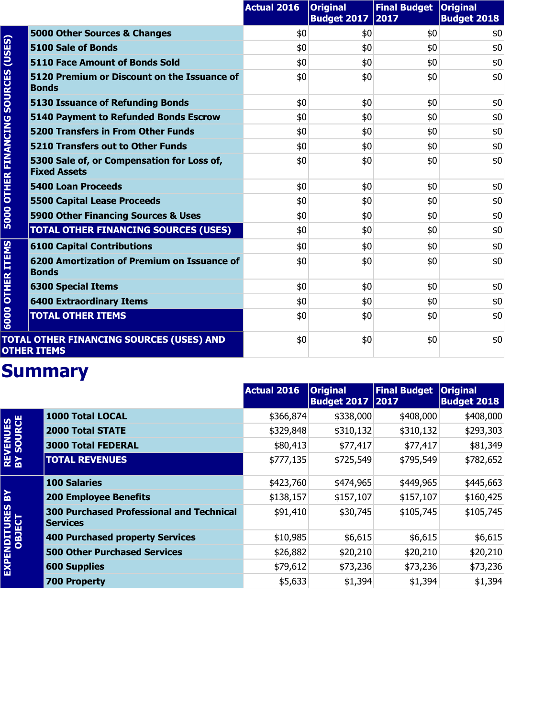|                        |                                                                   | <b>Actual 2016</b> | <b>Original</b><br><b>Budget 2017</b> | Final Budget   Original<br>2017 | <b>Budget 2018</b> |
|------------------------|-------------------------------------------------------------------|--------------------|---------------------------------------|---------------------------------|--------------------|
| (USES)                 | 5000 Other Sources & Changes                                      | \$0                | \$0                                   | \$0                             | \$0                |
|                        | 5100 Sale of Bonds                                                | \$0                | \$0                                   | \$0                             | \$0                |
|                        | 5110 Face Amount of Bonds Sold                                    | \$0                | \$0                                   | \$0                             | \$0                |
| <b>SOURCES</b>         | 5120 Premium or Discount on the Issuance of<br><b>Bonds</b>       | \$0                | \$0                                   | \$0                             | \$0                |
|                        | <b>5130 Issuance of Refunding Bonds</b>                           | \$0                | \$0                                   | \$0                             | \$0                |
|                        | 5140 Payment to Refunded Bonds Escrow                             | \$0                | \$0                                   | \$0                             | \$0                |
|                        | <b>5200 Transfers in From Other Funds</b>                         | \$0                | \$0                                   | \$0                             | \$0                |
|                        | <b>5210 Transfers out to Other Funds</b>                          | \$0                | \$0                                   | \$0                             | \$0                |
| <b>OTHER FINANCING</b> | 5300 Sale of, or Compensation for Loss of,<br><b>Fixed Assets</b> | \$0                | \$0                                   | \$0                             | \$0                |
|                        | <b>5400 Loan Proceeds</b>                                         | \$0                | \$0                                   | \$0                             | \$0                |
|                        | <b>5500 Capital Lease Proceeds</b>                                | \$0                | \$0                                   | \$0                             | \$0                |
| 5000                   | 5900 Other Financing Sources & Uses                               | \$0                | \$0                                   | \$0                             | \$0                |
|                        | <b>TOTAL OTHER FINANCING SOURCES (USES)</b>                       | \$0                | \$0                                   | \$0                             | \$0                |
|                        | <b>6100 Capital Contributions</b>                                 | \$0                | \$0                                   | \$0                             | \$0                |
| <b>OTHER ITEMS</b>     | 6200 Amortization of Premium on Issuance of<br><b>Bonds</b>       | \$0                | \$0                                   | \$0                             | \$0                |
|                        | <b>6300 Special Items</b>                                         | \$0                | \$0                                   | \$0                             | \$0                |
|                        | <b>6400 Extraordinary Items</b>                                   | \$0                | \$0                                   | \$0                             | \$0                |
| 6000                   | <b>TOTAL OTHER ITEMS</b>                                          | \$0                | \$0                                   | \$0                             | \$0                |
|                        | TOTAL OTHER FINANCING SOURCES (USES) AND<br><b>OTHER ITEMS</b>    | \$0                | \$0                                   | \$0                             | \$0                |

|                               |                                                                    | <b>Actual 2016</b> | <b>Original</b><br><b>Budget 2017   2017</b> | <b>Final Budget</b> | <b>Original</b><br><b>Budget 2018</b> |
|-------------------------------|--------------------------------------------------------------------|--------------------|----------------------------------------------|---------------------|---------------------------------------|
|                               | <b>1000 Total LOCAL</b>                                            | \$366,874          | \$338,000                                    | \$408,000           | \$408,000                             |
|                               | <b>2000 Total STATE</b>                                            | \$329,848          | \$310,132                                    | \$310,132           | \$293,303                             |
|                               | <b>3000 Total FEDERAL</b>                                          | \$80,413           | \$77,417                                     | \$77,417            | \$81,349                              |
| <b>REVENUES<br/>BY SOURCE</b> | <b>TOTAL REVENUES</b>                                              | \$777,135          | \$725,549                                    | \$795,549           | \$782,652                             |
|                               | <b>100 Salaries</b>                                                | \$423,760          | \$474,965                                    | \$449,965           | \$445,663                             |
| 있                             | <b>200 Employee Benefits</b>                                       | \$138,157          | \$157,107                                    | \$157,107           | \$160,425                             |
| EXPENDITURES<br>OBJECT        | <b>300 Purchased Professional and Technical</b><br><b>Services</b> | \$91,410           | \$30,745                                     | \$105,745           | \$105,745                             |
|                               | <b>400 Purchased property Services</b>                             | \$10,985           | \$6,615                                      | \$6,615             | \$6,615                               |
|                               | <b>500 Other Purchased Services</b>                                | \$26,882           | \$20,210                                     | \$20,210            | \$20,210                              |
|                               | <b>600 Supplies</b>                                                | \$79,612           | \$73,236                                     | \$73,236            | \$73,236                              |
|                               | <b>700 Property</b>                                                | \$5,633            | \$1,394                                      | \$1,394             | \$1,394                               |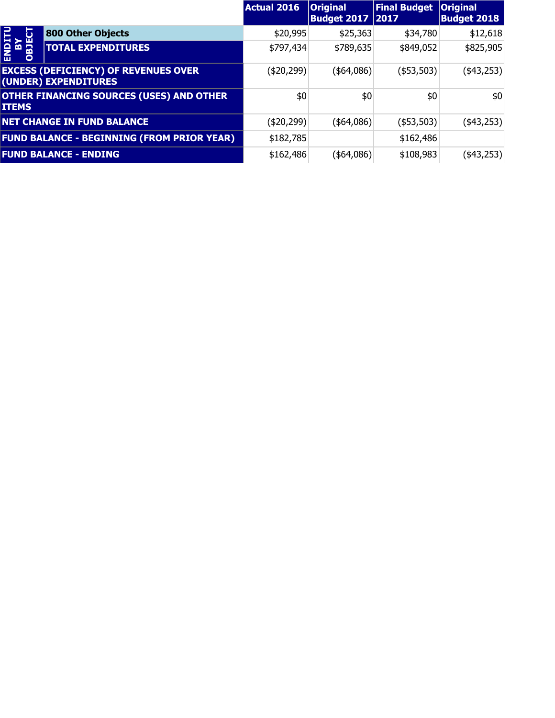|                                  |                                                                     | <b>Actual 2016</b> | <b>Original</b><br><b>Budget 2017   2017</b> | <b>Final Budget</b> | <b>Original</b><br><b>Budget 2018</b> |
|----------------------------------|---------------------------------------------------------------------|--------------------|----------------------------------------------|---------------------|---------------------------------------|
| U                                | 800 Other Objects                                                   | \$20,995           | \$25,363                                     | \$34,780            | \$12,618                              |
| <b>ENDIT</b><br>Na<br>OBJEC<br>뢺 | <b>TOTAL EXPENDITURES</b>                                           | \$797,434          | \$789,635                                    | \$849,052           | \$825,905                             |
|                                  | <b>EXCESS (DEFICIENCY) OF REVENUES OVER</b><br>(UNDER) EXPENDITURES | (\$20,299)         | (\$4,086)                                    | ( \$53,503)         | $(*43,253)$                           |
| <b>ITEMS</b>                     | <b>OTHER FINANCING SOURCES (USES) AND OTHER</b>                     | \$0                | \$0                                          | \$0                 | \$0                                   |
|                                  | <b>NET CHANGE IN FUND BALANCE</b>                                   | (\$20,299)         | $($ \$64,086) $ $                            | ( \$53,503)         | $(*43,253)$                           |
|                                  | <b>FUND BALANCE - BEGINNING (FROM PRIOR YEAR)</b>                   | \$182,785          |                                              | \$162,486           |                                       |
|                                  | <b>FUND BALANCE - ENDING</b>                                        | \$162,486          | (\$64,086)                                   | \$108,983           | (\$43,253)                            |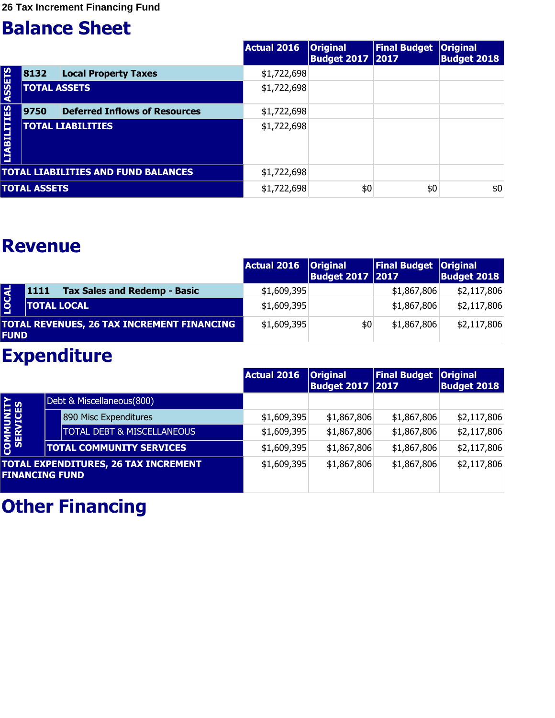**26 Tax Increment Financing Fund**

#### **Balance Sheet**

|                    |                     |                                            | Actual 2016 | <b>Original</b><br><b>Budget 2017   2017</b> | <b>Final Budget</b> | <b>Original</b><br><b>Budget 2018</b> |
|--------------------|---------------------|--------------------------------------------|-------------|----------------------------------------------|---------------------|---------------------------------------|
|                    | 8132                | <b>Local Property Taxes</b>                | \$1,722,698 |                                              |                     |                                       |
| <b>ASSETS</b>      |                     | <b>TOTAL ASSETS</b>                        | \$1,722,698 |                                              |                     |                                       |
|                    | 9750                | <b>Deferred Inflows of Resources</b>       | \$1,722,698 |                                              |                     |                                       |
| <b>LIABILITIES</b> |                     | <b>TOTAL LIABILITIES</b>                   | \$1,722,698 |                                              |                     |                                       |
|                    |                     | <b>TOTAL LIABILITIES AND FUND BALANCES</b> | \$1,722,698 |                                              |                     |                                       |
|                    | <b>TOTAL ASSETS</b> |                                            | \$1,722,698 | \$0                                          | \$0                 | \$0                                   |

#### **Revenue**

|              |                                                    | Actual 2016   Original | <b>Budget 2017 2017</b> | <b>Final Budget Original</b> | <b>Budget 2018</b> |
|--------------|----------------------------------------------------|------------------------|-------------------------|------------------------------|--------------------|
|              | <b>Tax Sales and Redemp - Basic</b><br><b>1111</b> | \$1,609,395            |                         | \$1,867,806                  | \$2,117,806        |
| <b>LOCAL</b> | <b>TOTAL LOCAL</b>                                 | \$1,609,395            |                         | \$1,867,806                  | \$2,117,806        |
| <b>FUND</b>  | TOTAL REVENUES, 26 TAX INCREMENT FINANCING         | \$1,609,395            | \$0                     | \$1,867,806                  | \$2,117,806        |

## **Expenditure**

|                       |                                             | <b>Actual 2016</b> | <b>Original</b><br><b>Budget 2017   2017</b> | Final Budget   Original | <b>Budget 2018</b> |
|-----------------------|---------------------------------------------|--------------------|----------------------------------------------|-------------------------|--------------------|
|                       | Debt & Miscellaneous(800)                   |                    |                                              |                         |                    |
|                       | 890 Misc Expenditures                       | \$1,609,395        | \$1,867,806                                  | \$1,867,806             | \$2,117,806        |
|                       | <b>TOTAL DEBT &amp; MISCELLANEOUS</b>       | \$1,609,395        | \$1,867,806                                  | \$1,867,806             | \$2,117,806        |
| COMMUNITY<br>SERVICES | <b>TOTAL COMMUNITY SERVICES</b>             | \$1,609,395        | \$1,867,806                                  | \$1,867,806             | \$2,117,806        |
| <b>FINANCING FUND</b> | <b>TOTAL EXPENDITURES, 26 TAX INCREMENT</b> | \$1,609,395        | \$1,867,806                                  | \$1,867,806             | \$2,117,806        |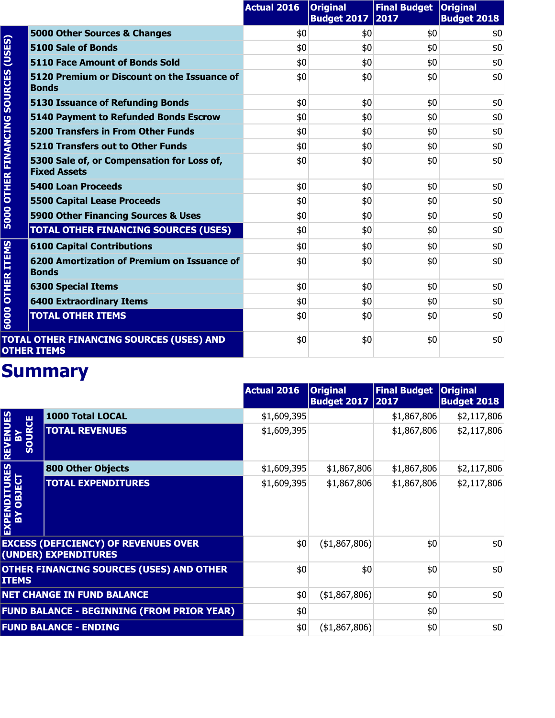|                        |                                                                   | <b>Actual 2016</b> | <b>Original</b><br><b>Budget 2017</b> | Final Budget   Original<br>2017 | <b>Budget 2018</b> |
|------------------------|-------------------------------------------------------------------|--------------------|---------------------------------------|---------------------------------|--------------------|
| (USES)                 | 5000 Other Sources & Changes                                      | \$0                | \$0                                   | \$0                             | \$0                |
|                        | 5100 Sale of Bonds                                                | \$0                | \$0                                   | \$0                             | \$0                |
|                        | <b>5110 Face Amount of Bonds Sold</b>                             | \$0                | \$0                                   | \$0                             | \$0                |
| <b>SOURCES</b>         | 5120 Premium or Discount on the Issuance of<br><b>Bonds</b>       | \$0                | \$0                                   | \$0                             | \$0                |
|                        | <b>5130 Issuance of Refunding Bonds</b>                           | \$0                | \$0                                   | \$0                             | \$0                |
|                        | <b>5140 Payment to Refunded Bonds Escrow</b>                      | \$0                | \$0                                   | \$0                             | \$0                |
|                        | <b>5200 Transfers in From Other Funds</b>                         | \$0                | \$0                                   | \$0                             | \$0                |
|                        | 5210 Transfers out to Other Funds                                 | \$0                | \$0                                   | \$0                             | \$0                |
| <b>OTHER FINANCING</b> | 5300 Sale of, or Compensation for Loss of,<br><b>Fixed Assets</b> | \$0                | \$0                                   | \$0                             | \$0                |
|                        | <b>5400 Loan Proceeds</b>                                         | \$0                | \$0                                   | \$0                             | \$0                |
|                        | <b>5500 Capital Lease Proceeds</b>                                | \$0                | \$0                                   | \$0                             | \$0                |
| 5000                   | 5900 Other Financing Sources & Uses                               | \$0                | \$0                                   | \$0                             | \$0                |
|                        | <b>TOTAL OTHER FINANCING SOURCES (USES)</b>                       | \$0                | \$0                                   | \$0                             | \$0                |
|                        | <b>6100 Capital Contributions</b>                                 | \$0                | \$0                                   | \$0                             | \$0                |
| <b>OTHER ITEMS</b>     | 6200 Amortization of Premium on Issuance of<br><b>Bonds</b>       | \$0                | \$0                                   | \$0                             | \$0                |
|                        | <b>6300 Special Items</b>                                         | \$0                | \$0                                   | \$0                             | \$0                |
|                        | <b>6400 Extraordinary Items</b>                                   | \$0                | \$0                                   | \$0                             | \$0                |
| 6000                   | <b>TOTAL OTHER ITEMS</b>                                          | \$0                | \$0                                   | \$0                             | \$0                |
|                        | TOTAL OTHER FINANCING SOURCES (USES) AND<br><b>OTHER ITEMS</b>    | \$0                | \$0                                   | \$0                             | \$0                |

|                                              |                                                                     | <b>Actual 2016</b> | <b>Original</b><br><b>Budget 2017</b> | <b>Final Budget</b><br> 2017 | <b>Original</b><br><b>Budget 2018</b> |
|----------------------------------------------|---------------------------------------------------------------------|--------------------|---------------------------------------|------------------------------|---------------------------------------|
|                                              | 1000 Total LOCAL                                                    | \$1,609,395        |                                       | \$1,867,806                  | \$2,117,806                           |
| <b>REVENUES</b><br><b>IRCE</b><br><b>UOS</b> | <b>TOTAL REVENUES</b>                                               | \$1,609,395        |                                       | \$1,867,806                  | \$2,117,806                           |
|                                              | <b>800 Other Objects</b>                                            | \$1,609,395        | \$1,867,806                           | \$1,867,806                  | \$2,117,806                           |
| <b>EXPENDITURES<br/>BY OBJECT</b>            | <b>TOTAL EXPENDITURES</b>                                           | \$1,609,395        | \$1,867,806                           | \$1,867,806                  | \$2,117,806                           |
|                                              | <b>EXCESS (DEFICIENCY) OF REVENUES OVER</b><br>(UNDER) EXPENDITURES | \$0                | (41,867,806)                          | \$0                          | \$0                                   |
| <b>ITEMS</b>                                 | OTHER FINANCING SOURCES (USES) AND OTHER                            | \$0                | \$0                                   | \$0                          | \$0                                   |
|                                              | <b>NET CHANGE IN FUND BALANCE</b>                                   | \$0                | (41,867,806)                          | \$0                          | \$0                                   |
|                                              | <b>FUND BALANCE - BEGINNING (FROM PRIOR YEAR)</b>                   | \$0                |                                       | \$0                          |                                       |
|                                              | <b>FUND BALANCE - ENDING</b>                                        | \$0                | (41,867,806)                          | \$0                          | \$0                                   |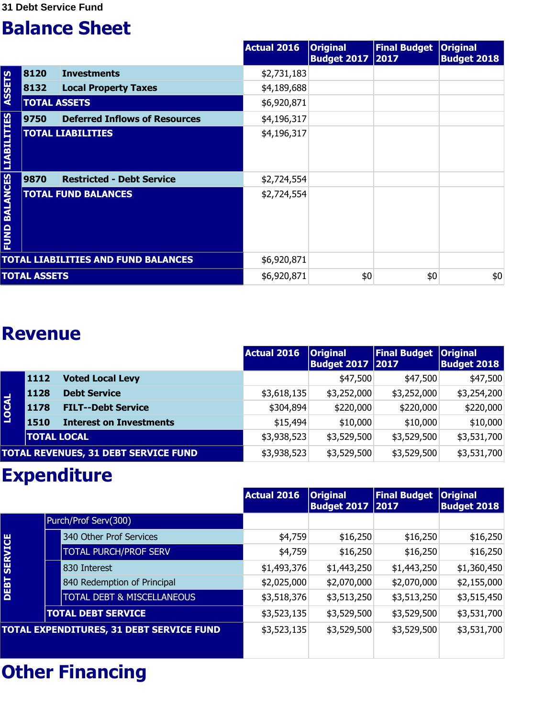|                                  |                     |                                            | Actual 2016 | <b>Original</b><br><b>Budget 2017 2017</b> | <b>Final Budget</b> | <b>Original</b><br><b>Budget 2018</b> |
|----------------------------------|---------------------|--------------------------------------------|-------------|--------------------------------------------|---------------------|---------------------------------------|
|                                  | 8120                | <b>Investments</b>                         | \$2,731,183 |                                            |                     |                                       |
| <b>ASSETS</b>                    | 8132                | <b>Local Property Taxes</b>                | \$4,189,688 |                                            |                     |                                       |
|                                  | <b>TOTAL ASSETS</b> |                                            | \$6,920,871 |                                            |                     |                                       |
|                                  | 9750                | <b>Deferred Inflows of Resources</b>       | \$4,196,317 |                                            |                     |                                       |
|                                  |                     | <b>TOTAL LIABILITIES</b>                   | \$4,196,317 |                                            |                     |                                       |
|                                  | 9870                | <b>Restricted - Debt Service</b>           | \$2,724,554 |                                            |                     |                                       |
| <b>FUND BALANCES LIABILITIES</b> |                     | <b>TOTAL FUND BALANCES</b>                 | \$2,724,554 |                                            |                     |                                       |
|                                  |                     | <b>TOTAL LIABILITIES AND FUND BALANCES</b> | \$6,920,871 |                                            |                     |                                       |
|                                  | <b>TOTAL ASSETS</b> |                                            | \$6,920,871 | \$0                                        | \$0                 | \$0                                   |

#### **Revenue**

|              |                    |                                             | Actual 2016 | <b>Original</b><br><b>Budget 2017   2017</b> | <b>Final Budget</b> | <b>Original</b><br><b>Budget 2018</b> |
|--------------|--------------------|---------------------------------------------|-------------|----------------------------------------------|---------------------|---------------------------------------|
|              | 1112               | <b>Voted Local Levy</b>                     |             | \$47,500                                     | \$47,500            | \$47,500                              |
|              | 1128               | <b>Debt Service</b>                         | \$3,618,135 | \$3,252,000                                  | \$3,252,000         | \$3,254,200                           |
| <b>LOCAL</b> | <b>1178</b>        | <b>FILT--Debt Service</b>                   | \$304,894   | \$220,000                                    | \$220,000           | \$220,000                             |
|              | <b>1510</b>        | <b>Interest on Investments</b>              | \$15,494    | \$10,000                                     | \$10,000            | \$10,000                              |
|              | <b>TOTAL LOCAL</b> |                                             | \$3,938,523 | \$3,529,500                                  | \$3,529,500         | \$3,531,700                           |
|              |                    | <b>TOTAL REVENUES, 31 DEBT SERVICE FUND</b> | \$3,938,523 | \$3,529,500                                  | \$3,529,500         | \$3,531,700                           |

#### **Expenditure**

|                     |                                          | <b>Actual 2016</b> | <b>Original</b><br><b>Budget 2017   2017</b> | <b>Final Budget</b> | <b>Original</b><br><b>Budget 2018</b> |
|---------------------|------------------------------------------|--------------------|----------------------------------------------|---------------------|---------------------------------------|
|                     | Purch/Prof Serv(300)                     |                    |                                              |                     |                                       |
|                     | 340 Other Prof Services                  | \$4,759            | \$16,250                                     | \$16,250            | \$16,250                              |
| <b>DEBT SERVICE</b> | <b>TOTAL PURCH/PROF SERV</b>             | \$4,759            | \$16,250                                     | \$16,250            | \$16,250                              |
|                     | 830 Interest                             | \$1,493,376        | \$1,443,250                                  | \$1,443,250         | \$1,360,450                           |
|                     | 840 Redemption of Principal              | \$2,025,000        | \$2,070,000                                  | \$2,070,000         | \$2,155,000                           |
|                     | <b>TOTAL DEBT &amp; MISCELLANEOUS</b>    | \$3,518,376        | \$3,513,250                                  | \$3,513,250         | \$3,515,450                           |
|                     | <b>TOTAL DEBT SERVICE</b>                | \$3,523,135        | \$3,529,500                                  | \$3,529,500         | \$3,531,700                           |
|                     | TOTAL EXPENDITURES, 31 DEBT SERVICE FUND | \$3,523,135        | \$3,529,500                                  | \$3,529,500         | \$3,531,700                           |
|                     |                                          |                    |                                              |                     |                                       |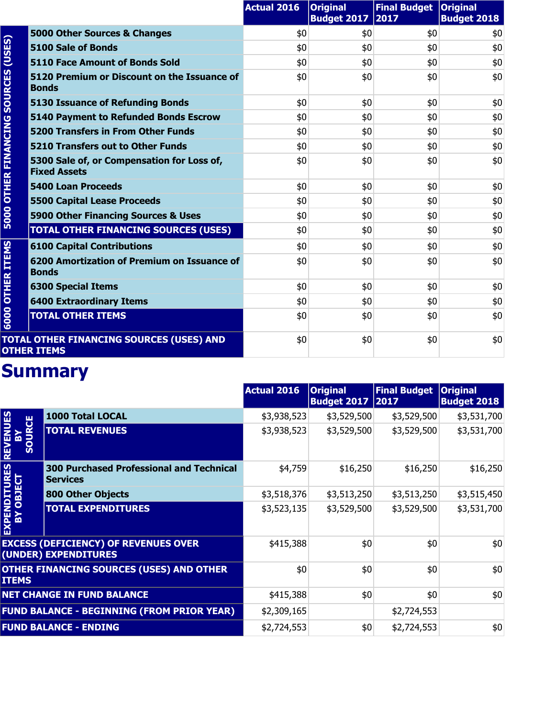|                        |                                                                   | <b>Actual 2016</b> | <b>Original</b><br><b>Budget 2017</b> | Final Budget   Original<br>2017 | <b>Budget 2018</b> |
|------------------------|-------------------------------------------------------------------|--------------------|---------------------------------------|---------------------------------|--------------------|
|                        | 5000 Other Sources & Changes                                      | \$0                | \$0                                   | \$0                             | \$0                |
| (USES)                 | 5100 Sale of Bonds                                                | \$0                | \$0                                   | \$0                             | \$0                |
|                        | <b>5110 Face Amount of Bonds Sold</b>                             | \$0                | \$0                                   | \$0                             | \$0                |
| <b>SOURCES</b>         | 5120 Premium or Discount on the Issuance of<br><b>Bonds</b>       | \$0                | \$0                                   | \$0                             | \$0                |
|                        | <b>5130 Issuance of Refunding Bonds</b>                           | \$0                | \$0                                   | \$0                             | \$0                |
|                        | <b>5140 Payment to Refunded Bonds Escrow</b>                      | \$0                | \$0                                   | \$0                             | \$0                |
|                        | <b>5200 Transfers in From Other Funds</b>                         | \$0                | \$0                                   | \$0                             | \$0                |
|                        | <b>5210 Transfers out to Other Funds</b>                          | \$0                | \$0                                   | \$0                             | \$0                |
| <b>OTHER FINANCING</b> | 5300 Sale of, or Compensation for Loss of,<br><b>Fixed Assets</b> | \$0                | \$0                                   | \$0                             | \$0                |
|                        | <b>5400 Loan Proceeds</b>                                         | \$0                | \$0                                   | \$0                             | \$0                |
|                        | <b>5500 Capital Lease Proceeds</b>                                | \$0                | \$0                                   | \$0                             | \$0                |
| 5000                   | 5900 Other Financing Sources & Uses                               | \$0                | \$0                                   | \$0                             | \$0                |
|                        | <b>TOTAL OTHER FINANCING SOURCES (USES)</b>                       | \$0                | \$0                                   | \$0                             | \$0                |
|                        | <b>6100 Capital Contributions</b>                                 | \$0                | \$0                                   | \$0                             | \$0                |
| <b>OTHER ITEMS</b>     | 6200 Amortization of Premium on Issuance of<br><b>Bonds</b>       | \$0                | \$0                                   | \$0                             | \$0                |
|                        | <b>6300 Special Items</b>                                         | \$0                | \$0                                   | \$0                             | \$0                |
|                        | <b>6400 Extraordinary Items</b>                                   | \$0                | \$0                                   | \$0                             | \$0                |
| 6000                   | <b>TOTAL OTHER ITEMS</b>                                          | \$0                | \$0                                   | \$0                             | \$0                |
|                        | TOTAL OTHER FINANCING SOURCES (USES) AND<br><b>OTHER ITEMS</b>    | \$0                | \$0                                   | \$0                             | \$0                |

|                                   |                                                                     | Actual 2016 | <b>Original</b><br>Budget 2017 2017 | <b>Final Budget</b> | <b>Original</b><br><b>Budget 2018</b> |
|-----------------------------------|---------------------------------------------------------------------|-------------|-------------------------------------|---------------------|---------------------------------------|
|                                   | 1000 Total LOCAL                                                    | \$3,938,523 | \$3,529,500                         | \$3,529,500         | \$3,531,700                           |
| <b>REVENUES</b><br><b>SOURCE</b>  | <b>TOTAL REVENUES</b>                                               | \$3,938,523 | \$3,529,500                         | \$3,529,500         | \$3,531,700                           |
|                                   | <b>300 Purchased Professional and Technical</b><br><b>Services</b>  | \$4,759     | \$16,250                            | \$16,250            | \$16,250                              |
|                                   | <b>800 Other Objects</b>                                            | \$3,518,376 | \$3,513,250                         | \$3,513,250         | \$3,515,450                           |
| <b>EXPENDITURES<br/>BY OBJECT</b> | <b>TOTAL EXPENDITURES</b>                                           | \$3,523,135 | \$3,529,500                         | \$3,529,500         | \$3,531,700                           |
|                                   | <b>EXCESS (DEFICIENCY) OF REVENUES OVER</b><br>(UNDER) EXPENDITURES | \$415,388   | \$0                                 | \$0                 | \$0                                   |
| <b>ITEMS</b>                      | <b>OTHER FINANCING SOURCES (USES) AND OTHER</b>                     | \$0         | \$0                                 | \$0                 | \$0                                   |
|                                   | <b>NET CHANGE IN FUND BALANCE</b>                                   | \$415,388   | \$0                                 | \$0                 | \$0                                   |
|                                   | <b>FUND BALANCE - BEGINNING (FROM PRIOR YEAR)</b>                   | \$2,309,165 |                                     | \$2,724,553         |                                       |
|                                   | <b>FUND BALANCE - ENDING</b>                                        | \$2,724,553 | \$0                                 | \$2,724,553         | \$0                                   |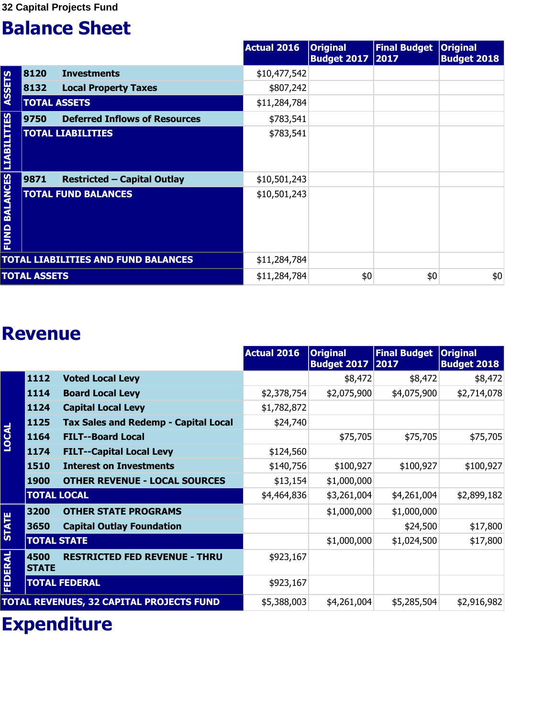|                                  |                     |                                            | Actual 2016  | <b>Original</b><br><b>Budget 2017 2017</b> | <b>Final Budget</b> | <b>Original</b><br><b>Budget 2018</b> |
|----------------------------------|---------------------|--------------------------------------------|--------------|--------------------------------------------|---------------------|---------------------------------------|
|                                  | 8120                | <b>Investments</b>                         | \$10,477,542 |                                            |                     |                                       |
| <b>ASSETS</b>                    | 8132                | <b>Local Property Taxes</b>                | \$807,242    |                                            |                     |                                       |
|                                  | <b>TOTAL ASSETS</b> |                                            | \$11,284,784 |                                            |                     |                                       |
|                                  | 9750                | <b>Deferred Inflows of Resources</b>       | \$783,541    |                                            |                     |                                       |
|                                  |                     | <b>TOTAL LIABILITIES</b>                   | \$783,541    |                                            |                     |                                       |
|                                  | 9871                | <b>Restricted - Capital Outlay</b>         | \$10,501,243 |                                            |                     |                                       |
| <b>FUND BALANCES LIABILITIES</b> |                     | <b>TOTAL FUND BALANCES</b>                 | \$10,501,243 |                                            |                     |                                       |
|                                  |                     | <b>TOTAL LIABILITIES AND FUND BALANCES</b> | \$11,284,784 |                                            |                     |                                       |
|                                  | <b>TOTAL ASSETS</b> |                                            | \$11,284,784 | \$0                                        | \$0                 | \$0                                   |

#### **Revenue**

|                |                      |                                             | Actual 2016 | <b>Original</b><br><b>Budget 2017</b> | <b>Final Budget</b><br>2017 | <b>Original</b><br><b>Budget 2018</b> |
|----------------|----------------------|---------------------------------------------|-------------|---------------------------------------|-----------------------------|---------------------------------------|
|                | 1112                 | <b>Voted Local Levy</b>                     |             | \$8,472                               | \$8,472                     | \$8,472                               |
|                | 1114                 | <b>Board Local Levy</b>                     | \$2,378,754 | \$2,075,900                           | \$4,075,900                 | \$2,714,078                           |
|                | 1124                 | <b>Capital Local Levy</b>                   | \$1,782,872 |                                       |                             |                                       |
|                | 1125                 | <b>Tax Sales and Redemp - Capital Local</b> | \$24,740    |                                       |                             |                                       |
| LOCAL          | 1164                 | <b>FILT--Board Local</b>                    |             | \$75,705                              | \$75,705                    | \$75,705                              |
|                | 1174                 | <b>FILT--Capital Local Levy</b>             | \$124,560   |                                       |                             |                                       |
|                | 1510                 | <b>Interest on Investments</b>              | \$140,756   | \$100,927                             | \$100,927                   | \$100,927                             |
|                | <b>1900</b>          | <b>OTHER REVENUE - LOCAL SOURCES</b>        | \$13,154    | \$1,000,000                           |                             |                                       |
|                | <b>TOTAL LOCAL</b>   |                                             | \$4,464,836 | \$3,261,004                           | \$4,261,004                 | \$2,899,182                           |
|                | 3200                 | <b>OTHER STATE PROGRAMS</b>                 |             | \$1,000,000                           | \$1,000,000                 |                                       |
| <b>STATE</b>   | 3650                 | <b>Capital Outlay Foundation</b>            |             |                                       | \$24,500                    | \$17,800                              |
|                | <b>TOTAL STATE</b>   |                                             |             | \$1,000,000                           | \$1,024,500                 | \$17,800                              |
| <b>FEDERAL</b> | 4500<br><b>STATE</b> | <b>RESTRICTED FED REVENUE - THRU</b>        | \$923,167   |                                       |                             |                                       |
|                |                      | <b>TOTAL FEDERAL</b>                        | \$923,167   |                                       |                             |                                       |
|                |                      | TOTAL REVENUES, 32 CAPITAL PROJECTS FUND    | \$5,388,003 | \$4,261,004                           | \$5,285,504                 | \$2,916,982                           |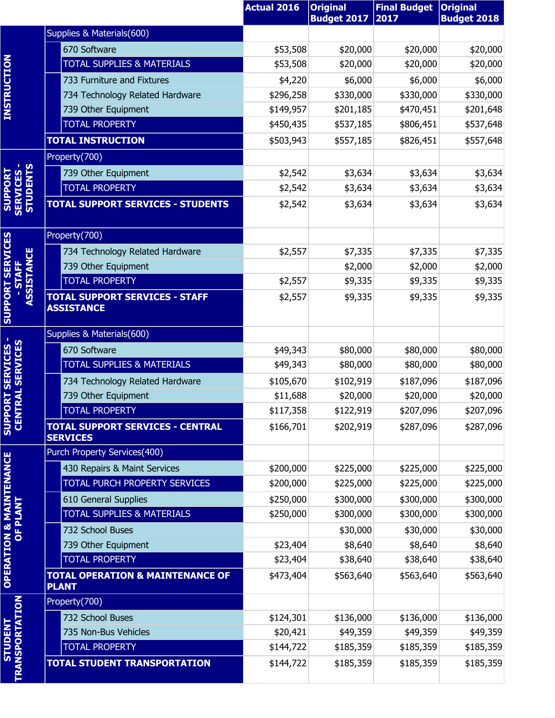|                                                |                                                             | <b>Actual 2016</b> | <b>Original</b><br><b>Budget 2017</b> | <b>Final Budget</b><br>2017 | <b>Original</b><br><b>Budget 2018</b> |
|------------------------------------------------|-------------------------------------------------------------|--------------------|---------------------------------------|-----------------------------|---------------------------------------|
|                                                | Supplies & Materials(600)                                   |                    |                                       |                             |                                       |
|                                                | 670 Software                                                | \$53,508           | \$20,000                              | \$20,000                    | \$20,000                              |
|                                                | <b>TOTAL SUPPLIES &amp; MATERIALS</b>                       | \$53,508           | \$20,000                              | \$20,000                    | \$20,000                              |
| <b>INSTRUCTION</b>                             | 733 Furniture and Fixtures                                  | \$4,220            | \$6,000                               | \$6,000                     | \$6,000                               |
|                                                | 734 Technology Related Hardware                             | \$296,258          | \$330,000                             | \$330,000                   | \$330,000                             |
|                                                | 739 Other Equipment                                         | \$149,957          | \$201,185                             | \$470,451                   | \$201,648                             |
|                                                | <b>TOTAL PROPERTY</b>                                       | \$450,435          | \$537,185                             | \$806,451                   | \$537,648                             |
|                                                | <b>TOTAL INSTRUCTION</b>                                    | \$503,943          | \$557,185                             | \$826,451                   | \$557,648                             |
|                                                | Property(700)                                               |                    |                                       |                             |                                       |
|                                                | 739 Other Equipment                                         | \$2,542            | \$3,634                               | \$3,634                     | \$3,634                               |
|                                                | <b>TOTAL PROPERTY</b>                                       | \$2,542            | \$3,634                               | \$3,634                     | \$3,634                               |
| <b>SUPPORT<br/>SERVICES -<br/>STUDENTS</b>     | <b>TOTAL SUPPORT SERVICES - STUDENTS</b>                    | \$2,542            | \$3,634                               | \$3,634                     | \$3,634                               |
|                                                | Property(700)                                               |                    |                                       |                             |                                       |
| ő                                              | 734 Technology Related Hardware                             | \$2,557            | \$7,335                               | \$7,335                     | \$7,335                               |
|                                                | 739 Other Equipment                                         |                    | \$2,000                               | \$2,000                     | \$2,000                               |
|                                                | <b>TOTAL PROPERTY</b>                                       | \$2,557            | \$9,335                               | \$9,335                     | \$9,335                               |
| <b>SUPPORT SERVICES</b><br><b>ASSISTAN</b>     | <b>TOTAL SUPPORT SERVICES - STAFF</b><br><b>ASSISTANCE</b>  | \$2,557            | \$9,335                               | \$9,335                     | \$9,335                               |
|                                                | Supplies & Materials(600)                                   |                    |                                       |                             |                                       |
| <b>RT SERVICES -<br/>RAL SERVICES</b>          | 670 Software                                                | \$49,343           | \$80,000                              | \$80,000                    | \$80,000                              |
|                                                | <b>TOTAL SUPPLIES &amp; MATERIALS</b>                       | \$49,343           | \$80,000                              | \$80,000                    | \$80,000                              |
|                                                | 734 Technology Related Hardware                             | \$105,670          | \$102,919                             | \$187,096                   | \$187,096                             |
|                                                | 739 Other Equipment                                         | \$11,688           | \$20,000                              | \$20,000                    | \$20,000                              |
|                                                | <b>TOTAL PROPERTY</b>                                       | \$117,358          | \$122,919                             | \$207,096                   | \$207,096                             |
| <b>SUPPOI</b><br>CENTE                         | <b>TOTAL SUPPORT SERVICES - CENTRAL</b><br><b>SERVICES</b>  | \$166,701          | \$202,919                             | \$287,096                   | \$287,096                             |
|                                                | Purch Property Services(400)                                |                    |                                       |                             |                                       |
|                                                | 430 Repairs & Maint Services                                | \$200,000          | \$225,000                             | \$225,000                   | \$225,000                             |
|                                                | TOTAL PURCH PROPERTY SERVICES                               | \$200,000          | \$225,000                             | \$225,000                   | \$225,000                             |
|                                                | 610 General Supplies                                        | \$250,000          | \$300,000                             | \$300,000                   | \$300,000                             |
|                                                | <b>TOTAL SUPPLIES &amp; MATERIALS</b>                       | \$250,000          | \$300,000                             | \$300,000                   | \$300,000                             |
|                                                | 732 School Buses                                            |                    | \$30,000                              | \$30,000                    | \$30,000                              |
|                                                | 739 Other Equipment                                         | \$23,404           | \$8,640                               | \$8,640                     | \$8,640                               |
|                                                | <b>TOTAL PROPERTY</b>                                       | \$23,404           | \$38,640                              | \$38,640                    | \$38,640                              |
| <b>OPERATION &amp; MAINTENANCE</b><br>OF PLANT | <b>TOTAL OPERATION &amp; MAINTENANCE OF</b><br><b>PLANT</b> | \$473,404          | \$563,640                             | \$563,640                   | \$563,640                             |
|                                                | Property(700)                                               |                    |                                       |                             |                                       |
|                                                | 732 School Buses                                            | \$124,301          | \$136,000                             | \$136,000                   | \$136,000                             |
|                                                | 735 Non-Bus Vehicles                                        | \$20,421           | \$49,359                              | \$49,359                    | \$49,359                              |
| <b>STUDENT</b>                                 | <b>TOTAL PROPERTY</b>                                       | \$144,722          | \$185,359                             | \$185,359                   | \$185,359                             |
| <b><i>TRANSPORTATION</i></b>                   | TOTAL STUDENT TRANSPORTATION                                | \$144,722          | \$185,359                             | \$185,359                   | \$185,359                             |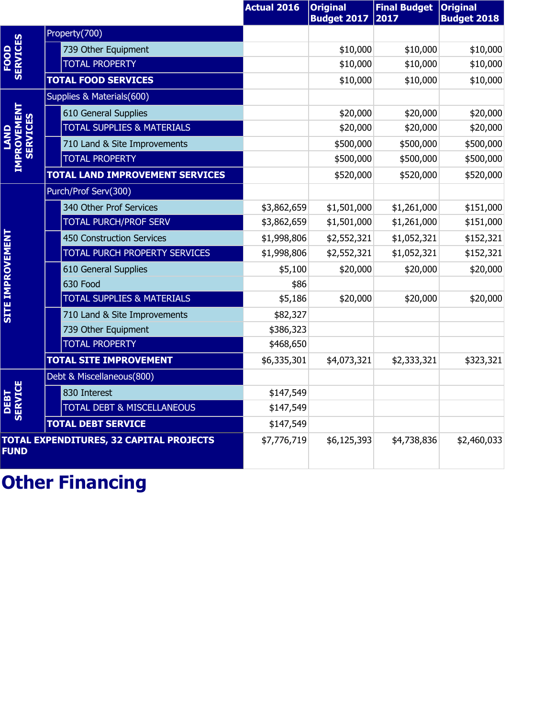|                                       |                                                | <b>Actual 2016</b> | <b>Original</b><br><b>Budget 2017</b> | <b>Final Budget</b><br>2017 | <b>Original</b><br><b>Budget 2018</b> |
|---------------------------------------|------------------------------------------------|--------------------|---------------------------------------|-----------------------------|---------------------------------------|
|                                       | Property(700)                                  |                    |                                       |                             |                                       |
| <b>SERVICES</b>                       | 739 Other Equipment                            |                    | \$10,000                              | \$10,000                    | \$10,000                              |
| FOOD                                  | <b>TOTAL PROPERTY</b>                          |                    | \$10,000                              | \$10,000                    | \$10,000                              |
|                                       | <b>TOTAL FOOD SERVICES</b>                     |                    | \$10,000                              | \$10,000                    | \$10,000                              |
|                                       | Supplies & Materials(600)                      |                    |                                       |                             |                                       |
|                                       | 610 General Supplies                           |                    | \$20,000                              | \$20,000                    | \$20,000                              |
| <b>IMPROVEMENT</b><br><b>SERVICES</b> | <b>TOTAL SUPPLIES &amp; MATERIALS</b>          |                    | \$20,000                              | \$20,000                    | \$20,000                              |
|                                       | 710 Land & Site Improvements                   |                    | \$500,000                             | \$500,000                   | \$500,000                             |
|                                       | <b>TOTAL PROPERTY</b>                          |                    | \$500,000                             | \$500,000                   | \$500,000                             |
|                                       | <b>TOTAL LAND IMPROVEMENT SERVICES</b>         |                    | \$520,000                             | \$520,000                   | \$520,000                             |
|                                       | Purch/Prof Serv(300)                           |                    |                                       |                             |                                       |
|                                       | 340 Other Prof Services                        | \$3,862,659        | \$1,501,000                           | \$1,261,000                 | \$151,000                             |
|                                       | <b>TOTAL PURCH/PROF SERV</b>                   | \$3,862,659        | \$1,501,000                           | \$1,261,000                 | \$151,000                             |
| <b>SITE IMPROVEMENT</b>               | 450 Construction Services                      | \$1,998,806        | \$2,552,321                           | \$1,052,321                 | \$152,321                             |
|                                       | TOTAL PURCH PROPERTY SERVICES                  | \$1,998,806        | \$2,552,321                           | \$1,052,321                 | \$152,321                             |
|                                       | 610 General Supplies                           | \$5,100            | \$20,000                              | \$20,000                    | \$20,000                              |
|                                       | 630 Food                                       | \$86               |                                       |                             |                                       |
|                                       | <b>TOTAL SUPPLIES &amp; MATERIALS</b>          | \$5,186            | \$20,000                              | \$20,000                    | \$20,000                              |
|                                       | 710 Land & Site Improvements                   | \$82,327           |                                       |                             |                                       |
|                                       | 739 Other Equipment                            | \$386,323          |                                       |                             |                                       |
|                                       | <b>TOTAL PROPERTY</b>                          | \$468,650          |                                       |                             |                                       |
|                                       | <b>TOTAL SITE IMPROVEMENT</b>                  | \$6,335,301        | \$4,073,321                           | \$2,333,321                 | \$323,321                             |
|                                       | Debt & Miscellaneous(800)                      |                    |                                       |                             |                                       |
|                                       | 830 Interest                                   | \$147,549          |                                       |                             |                                       |
| <b>DEBT<br/>SERVICE</b>               | TOTAL DEBT & MISCELLANEOUS                     | \$147,549          |                                       |                             |                                       |
|                                       | <b>TOTAL DEBT SERVICE</b>                      | \$147,549          |                                       |                             |                                       |
| <b>FUND</b>                           | <b>TOTAL EXPENDITURES, 32 CAPITAL PROJECTS</b> | \$7,776,719        | \$6,125,393                           | \$4,738,836                 | \$2,460,033                           |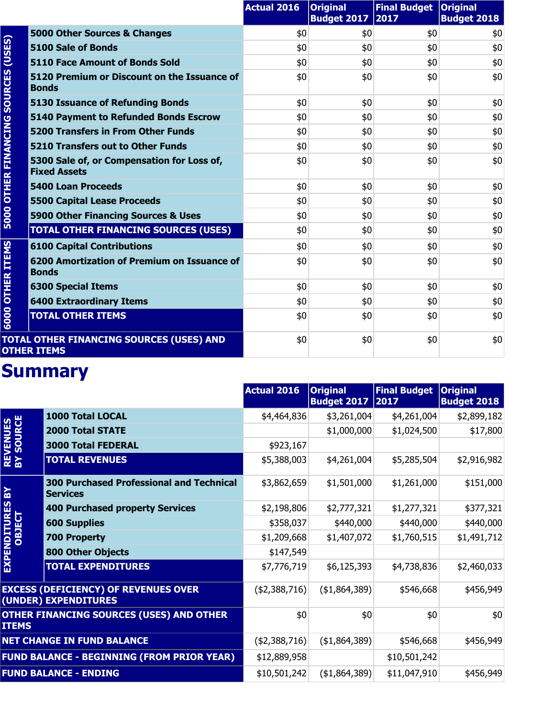|                        |                                                                   | <b>Actual 2016</b> | <b>Original</b><br><b>Budget 2017</b> | Final Budget   Original<br>2017 | <b>Budget 2018</b> |
|------------------------|-------------------------------------------------------------------|--------------------|---------------------------------------|---------------------------------|--------------------|
|                        | 5000 Other Sources & Changes                                      | \$0                | \$0                                   | \$0                             | \$0                |
| (USES)                 | 5100 Sale of Bonds                                                | \$0                | \$0                                   | \$0                             | \$0                |
|                        | 5110 Face Amount of Bonds Sold                                    | \$0                | \$0                                   | \$0                             | \$0                |
| <b>SOURCES</b>         | 5120 Premium or Discount on the Issuance of<br><b>Bonds</b>       | \$0                | \$0                                   | \$0                             | \$0                |
|                        | <b>5130 Issuance of Refunding Bonds</b>                           | \$0                | \$0                                   | \$0                             | \$0                |
|                        | <b>5140 Payment to Refunded Bonds Escrow</b>                      | \$0                | \$0                                   | \$0                             | \$0                |
|                        | <b>5200 Transfers in From Other Funds</b>                         | \$0                | \$0                                   | \$0                             | \$0                |
|                        | <b>5210 Transfers out to Other Funds</b>                          | \$0                | \$0                                   | \$0                             | \$0                |
| <b>OTHER FINANCING</b> | 5300 Sale of, or Compensation for Loss of,<br><b>Fixed Assets</b> | \$0                | \$0                                   | \$0                             | \$0                |
|                        | <b>5400 Loan Proceeds</b>                                         | \$0                | \$0                                   | \$0                             | \$0                |
|                        | <b>5500 Capital Lease Proceeds</b>                                | \$0                | \$0                                   | \$0                             | \$0                |
| 5000                   | 5900 Other Financing Sources & Uses                               | \$0                | \$0                                   | \$0                             | \$0                |
|                        | <b>TOTAL OTHER FINANCING SOURCES (USES)</b>                       | \$0                | \$0                                   | \$0                             | \$0                |
|                        | <b>6100 Capital Contributions</b>                                 | \$0                | \$0                                   | \$0                             | \$0                |
| <b>ITEMS</b>           | 6200 Amortization of Premium on Issuance of<br><b>Bonds</b>       | \$0                | \$0                                   | \$0                             | \$0                |
| <b>OTHER</b>           | <b>6300 Special Items</b>                                         | \$0                | \$0                                   | \$0                             | \$0                |
|                        | <b>6400 Extraordinary Items</b>                                   | \$0                | \$0                                   | \$0                             | \$0                |
| 6000                   | <b>TOTAL OTHER ITEMS</b>                                          | \$0                | \$0                                   | \$0                             | \$0                |
|                        | TOTAL OTHER FINANCING SOURCES (USES) AND<br><b>OTHER ITEMS</b>    | \$0                | \$0                                   | \$0                             | \$0                |

|                               |                                                                     | <b>Actual 2016</b> | <b>Original</b><br><b>Budget 2017</b> | <b>Final Budget</b><br>2017 | <b>Original</b><br><b>Budget 2018</b> |
|-------------------------------|---------------------------------------------------------------------|--------------------|---------------------------------------|-----------------------------|---------------------------------------|
|                               | 1000 Total LOCAL                                                    | \$4,464,836        | \$3,261,004                           | \$4,261,004                 | \$2,899,182                           |
|                               | <b>2000 Total STATE</b>                                             |                    | \$1,000,000                           | \$1,024,500                 | \$17,800                              |
|                               | <b>3000 Total FEDERAL</b>                                           | \$923,167          |                                       |                             |                                       |
| <b>REVENUES<br/>BY SOURCE</b> | <b>TOTAL REVENUES</b>                                               | \$5,388,003        | \$4,261,004                           | \$5,285,504                 | \$2,916,982                           |
| $\mathbf{R}$                  | <b>300 Purchased Professional and Technical</b><br><b>Services</b>  | \$3,862,659        | \$1,501,000                           | \$1,261,000                 | \$151,000                             |
| EXPENDITURES<br>OBJECT        | <b>400 Purchased property Services</b>                              | \$2,198,806        | \$2,777,321                           | \$1,277,321                 | \$377,321                             |
|                               | <b>600 Supplies</b>                                                 | \$358,037          | \$440,000                             | \$440,000                   | \$440,000                             |
|                               | <b>700 Property</b>                                                 | \$1,209,668        | \$1,407,072                           | \$1,760,515                 | \$1,491,712                           |
|                               | <b>800 Other Objects</b>                                            | \$147,549          |                                       |                             |                                       |
|                               | <b>TOTAL EXPENDITURES</b>                                           | \$7,776,719        | \$6,125,393                           | \$4,738,836                 | \$2,460,033                           |
|                               | <b>EXCESS (DEFICIENCY) OF REVENUES OVER</b><br>(UNDER) EXPENDITURES | (42,388,716)       | ( \$1,864,389)                        | \$546,668                   | \$456,949                             |
| <b>ITEMS</b>                  | <b>OTHER FINANCING SOURCES (USES) AND OTHER</b>                     | \$0                | \$0                                   | \$0                         | \$0                                   |
|                               | <b>NET CHANGE IN FUND BALANCE</b>                                   | (42,388,716)       | (\$1,864,389)                         | \$546,668                   | \$456,949                             |
|                               | <b>FUND BALANCE - BEGINNING (FROM PRIOR YEAR)</b>                   | \$12,889,958       |                                       | \$10,501,242                |                                       |
|                               | <b>FUND BALANCE - ENDING</b>                                        | \$10,501,242       | ( \$1,864,389)                        | \$11,047,910                | \$456,949                             |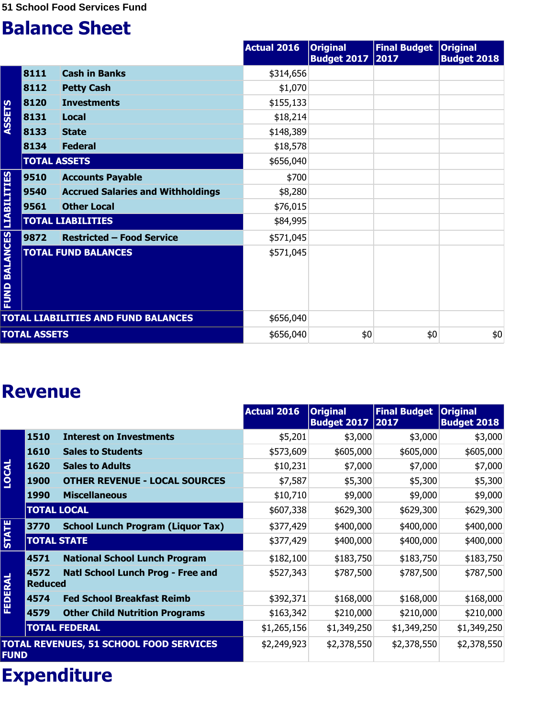|                                |                     |                                            | <b>Actual 2016</b> | <b>Original</b><br><b>Budget 2017</b> | <b>Final Budget</b><br>2017 | <b>Original</b><br><b>Budget 2018</b> |
|--------------------------------|---------------------|--------------------------------------------|--------------------|---------------------------------------|-----------------------------|---------------------------------------|
|                                | 8111                | <b>Cash in Banks</b>                       | \$314,656          |                                       |                             |                                       |
|                                | 8112                | <b>Petty Cash</b>                          | \$1,070            |                                       |                             |                                       |
|                                | 8120                | <b>Investments</b>                         | \$155,133          |                                       |                             |                                       |
| <b>ASSETS</b>                  | 8131                | <b>Local</b>                               | \$18,214           |                                       |                             |                                       |
|                                | 8133                | <b>State</b>                               | \$148,389          |                                       |                             |                                       |
|                                | 8134                | <b>Federal</b>                             | \$18,578           |                                       |                             |                                       |
|                                | <b>TOTAL ASSETS</b> |                                            | \$656,040          |                                       |                             |                                       |
|                                | 9510                | <b>Accounts Payable</b>                    | \$700              |                                       |                             |                                       |
|                                | 9540                | <b>Accrued Salaries and Withholdings</b>   | \$8,280            |                                       |                             |                                       |
|                                | 9561                | <b>Other Local</b>                         | \$76,015           |                                       |                             |                                       |
| <b>LIABILITIES</b>             |                     | <b>TOTAL LIABILITIES</b>                   | \$84,995           |                                       |                             |                                       |
|                                | 9872                | <b>Restricted - Food Service</b>           | \$571,045          |                                       |                             |                                       |
| <b>BALANCES</b><br><b>FUND</b> |                     | <b>TOTAL FUND BALANCES</b>                 | \$571,045          |                                       |                             |                                       |
|                                |                     | <b>TOTAL LIABILITIES AND FUND BALANCES</b> | \$656,040          |                                       |                             |                                       |
|                                | <b>TOTAL ASSETS</b> |                                            | \$656,040          | \$0                                   | \$0                         | \$0                                   |

#### **Revenue**

|                |                        |                                                | <b>Actual 2016</b> | <b>Original</b><br><b>Budget 2017</b> | <b>Final Budget</b><br> 2017 | <b>Original</b><br><b>Budget 2018</b> |
|----------------|------------------------|------------------------------------------------|--------------------|---------------------------------------|------------------------------|---------------------------------------|
|                | 1510                   | <b>Interest on Investments</b>                 | \$5,201            | \$3,000                               | \$3,000                      | \$3,000                               |
|                | 1610                   | <b>Sales to Students</b>                       | \$573,609          | \$605,000                             | \$605,000                    | \$605,000                             |
|                | 1620                   | <b>Sales to Adults</b>                         | \$10,231           | \$7,000                               | \$7,000                      | \$7,000                               |
| <b>LOCAL</b>   | <b>1900</b>            | <b>OTHER REVENUE - LOCAL SOURCES</b>           | \$7,587            | \$5,300                               | \$5,300                      | \$5,300                               |
|                | <b>1990</b>            | <b>Miscellaneous</b>                           | \$10,710           | \$9,000                               | \$9,000                      | \$9,000                               |
|                | <b>TOTAL LOCAL</b>     |                                                | \$607,338          | \$629,300                             | \$629,300                    | \$629,300                             |
|                | 3770                   | <b>School Lunch Program (Liquor Tax)</b>       | \$377,429          | \$400,000                             | \$400,000                    | \$400,000                             |
| <b>STATE</b>   | <b>TOTAL STATE</b>     |                                                | \$377,429          | \$400,000                             | \$400,000                    | \$400,000                             |
|                | 4571                   | <b>National School Lunch Program</b>           | \$182,100          | \$183,750                             | \$183,750                    | \$183,750                             |
| <b>FEDERAL</b> | 4572<br><b>Reduced</b> | Natl School Lunch Prog - Free and              | \$527,343          | \$787,500                             | \$787,500                    | \$787,500                             |
|                | 4574                   | <b>Fed School Breakfast Reimb</b>              | \$392,371          | \$168,000                             | \$168,000                    | \$168,000                             |
|                | 4579                   | <b>Other Child Nutrition Programs</b>          | \$163,342          | \$210,000                             | \$210,000                    | \$210,000                             |
|                |                        | <b>TOTAL FEDERAL</b>                           | \$1,265,156        | \$1,349,250                           | \$1,349,250                  | \$1,349,250                           |
| <b>FUND</b>    |                        | <b>TOTAL REVENUES, 51 SCHOOL FOOD SERVICES</b> | \$2,249,923        | \$2,378,550                           | \$2,378,550                  | \$2,378,550                           |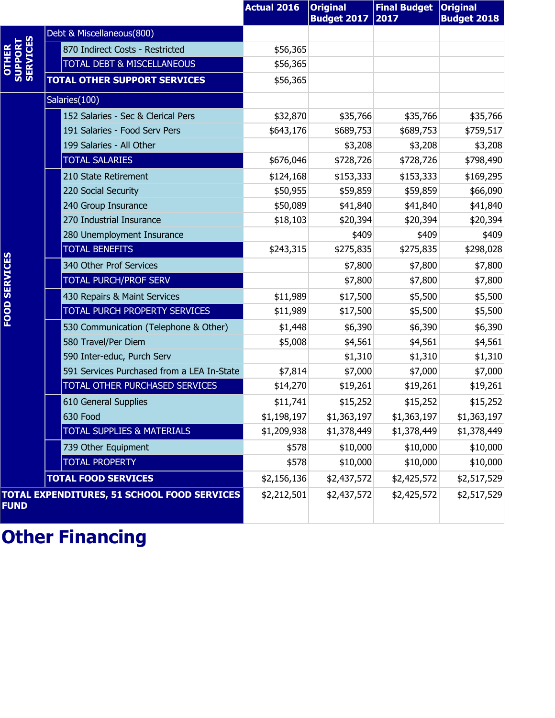|                              |                                             | <b>Actual 2016</b> | <b>Original</b><br><b>Budget 2017</b> | <b>Final Budget</b><br>2017 | <b>Original</b><br><b>Budget 2018</b> |
|------------------------------|---------------------------------------------|--------------------|---------------------------------------|-----------------------------|---------------------------------------|
|                              | Debt & Miscellaneous(800)                   |                    |                                       |                             |                                       |
| OTHER<br>SUPPORT<br>SERVICES | 870 Indirect Costs - Restricted             | \$56,365           |                                       |                             |                                       |
|                              | <b>TOTAL DEBT &amp; MISCELLANEOUS</b>       | \$56,365           |                                       |                             |                                       |
|                              | <b>TOTAL OTHER SUPPORT SERVICES</b>         | \$56,365           |                                       |                             |                                       |
|                              | Salaries(100)                               |                    |                                       |                             |                                       |
|                              | 152 Salaries - Sec & Clerical Pers          | \$32,870           | \$35,766                              | \$35,766                    | \$35,766                              |
|                              | 191 Salaries - Food Serv Pers               | \$643,176          | \$689,753                             | \$689,753                   | \$759,517                             |
|                              | 199 Salaries - All Other                    |                    | \$3,208                               | \$3,208                     | \$3,208                               |
|                              | <b>TOTAL SALARIES</b>                       | \$676,046          | \$728,726                             | \$728,726                   | \$798,490                             |
|                              | 210 State Retirement                        | \$124,168          | \$153,333                             | \$153,333                   | \$169,295                             |
|                              | 220 Social Security                         | \$50,955           | \$59,859                              | \$59,859                    | \$66,090                              |
|                              | 240 Group Insurance                         | \$50,089           | \$41,840                              | \$41,840                    | \$41,840                              |
|                              | 270 Industrial Insurance                    | \$18,103           | \$20,394                              | \$20,394                    | \$20,394                              |
|                              | 280 Unemployment Insurance                  |                    | \$409                                 | \$409                       | \$409                                 |
|                              | <b>TOTAL BENEFITS</b>                       | \$243,315          | \$275,835                             | \$275,835                   | \$298,028                             |
|                              | 340 Other Prof Services                     |                    | \$7,800                               | \$7,800                     | \$7,800                               |
|                              | TOTAL PURCH/PROF SERV                       |                    | \$7,800                               | \$7,800                     | \$7,800                               |
|                              | 430 Repairs & Maint Services                | \$11,989           | \$17,500                              | \$5,500                     | \$5,500                               |
| <b>FOOD SERVICES</b>         | TOTAL PURCH PROPERTY SERVICES               | \$11,989           | \$17,500                              | \$5,500                     | \$5,500                               |
|                              | 530 Communication (Telephone & Other)       | \$1,448            | \$6,390                               | \$6,390                     | \$6,390                               |
|                              | 580 Travel/Per Diem                         | \$5,008            | \$4,561                               | \$4,561                     | \$4,561                               |
|                              | 590 Inter-educ, Purch Serv                  |                    | \$1,310                               | \$1,310                     | \$1,310                               |
|                              | 591 Services Purchased from a LEA In-State  | \$7,814            | \$7,000                               | \$7,000                     | \$7,000                               |
|                              | TOTAL OTHER PURCHASED SERVICES              | \$14,270           | \$19,261                              | \$19,261                    | \$19,261                              |
|                              | 610 General Supplies                        | \$11,741           | \$15,252                              | \$15,252                    | \$15,252                              |
|                              | 630 Food                                    | \$1,198,197        | \$1,363,197                           | \$1,363,197                 | \$1,363,197                           |
|                              | <b>TOTAL SUPPLIES &amp; MATERIALS</b>       | \$1,209,938        | \$1,378,449                           | \$1,378,449                 | \$1,378,449                           |
|                              | 739 Other Equipment                         | \$578              | \$10,000                              | \$10,000                    | \$10,000                              |
|                              | <b>TOTAL PROPERTY</b>                       | \$578              | \$10,000                              | \$10,000                    | \$10,000                              |
|                              | <b>TOTAL FOOD SERVICES</b>                  | \$2,156,136        | \$2,437,572                           | \$2,425,572                 | \$2,517,529                           |
| <b>FUND</b>                  | TOTAL EXPENDITURES, 51 SCHOOL FOOD SERVICES | \$2,212,501        | \$2,437,572                           | \$2,425,572                 | \$2,517,529                           |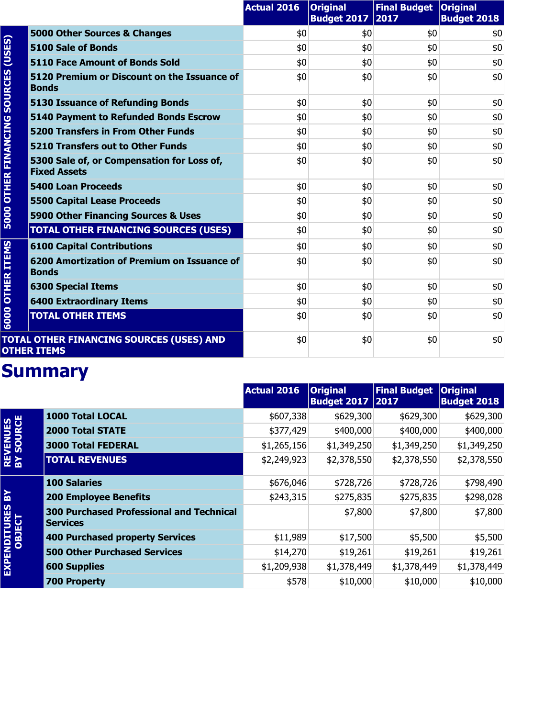|                        |                                                                   | <b>Actual 2016</b> | <b>Original</b><br><b>Budget 2017</b> | Final Budget   Original<br>2017 | <b>Budget 2018</b> |
|------------------------|-------------------------------------------------------------------|--------------------|---------------------------------------|---------------------------------|--------------------|
| (USES)                 | 5000 Other Sources & Changes                                      | \$0                | \$0                                   | \$0                             | \$0                |
|                        | 5100 Sale of Bonds                                                | \$0                | \$0                                   | \$0                             | \$0                |
|                        | 5110 Face Amount of Bonds Sold                                    | \$0                | \$0                                   | \$0                             | \$0                |
| <b>SOURCES</b>         | 5120 Premium or Discount on the Issuance of<br><b>Bonds</b>       | \$0                | \$0                                   | \$0                             | \$0                |
|                        | <b>5130 Issuance of Refunding Bonds</b>                           | \$0                | \$0                                   | \$0                             | \$0                |
|                        | 5140 Payment to Refunded Bonds Escrow                             | \$0                | \$0                                   | \$0                             | \$0                |
|                        | <b>5200 Transfers in From Other Funds</b>                         | \$0                | \$0                                   | \$0                             | \$0                |
|                        | <b>5210 Transfers out to Other Funds</b>                          | \$0                | \$0                                   | \$0                             | \$0                |
| <b>OTHER FINANCING</b> | 5300 Sale of, or Compensation for Loss of,<br><b>Fixed Assets</b> | \$0                | \$0                                   | \$0                             | \$0                |
|                        | <b>5400 Loan Proceeds</b>                                         | \$0                | \$0                                   | \$0                             | \$0                |
|                        | <b>5500 Capital Lease Proceeds</b>                                | \$0                | \$0                                   | \$0                             | \$0                |
| 5000                   | 5900 Other Financing Sources & Uses                               | \$0                | \$0                                   | \$0                             | \$0                |
|                        | <b>TOTAL OTHER FINANCING SOURCES (USES)</b>                       | \$0                | \$0                                   | \$0                             | \$0                |
|                        | <b>6100 Capital Contributions</b>                                 | \$0                | \$0                                   | \$0                             | \$0                |
| <b>OTHER ITEMS</b>     | 6200 Amortization of Premium on Issuance of<br><b>Bonds</b>       | \$0                | \$0                                   | \$0                             | \$0                |
|                        | <b>6300 Special Items</b>                                         | \$0                | \$0                                   | \$0                             | \$0                |
|                        | <b>6400 Extraordinary Items</b>                                   | \$0                | \$0                                   | \$0                             | \$0                |
| 6000                   | <b>TOTAL OTHER ITEMS</b>                                          | \$0                | \$0                                   | \$0                             | \$0                |
|                        | TOTAL OTHER FINANCING SOURCES (USES) AND<br><b>OTHER ITEMS</b>    | \$0                | \$0                                   | \$0                             | \$0                |

|                               |                                                                    | <b>Actual 2016</b> | <b>Original</b><br><b>Budget 2017 2017</b> | <b>Final Budget</b> | <b>Original</b><br><b>Budget 2018</b> |
|-------------------------------|--------------------------------------------------------------------|--------------------|--------------------------------------------|---------------------|---------------------------------------|
|                               | <b>1000 Total LOCAL</b>                                            | \$607,338          | \$629,300                                  | \$629,300           | \$629,300                             |
|                               | <b>2000 Total STATE</b>                                            | \$377,429          | \$400,000                                  | \$400,000           | \$400,000                             |
|                               | <b>3000 Total FEDERAL</b>                                          | \$1,265,156        | \$1,349,250                                | \$1,349,250         | \$1,349,250                           |
| <b>REVENUES<br/>BY SOURCE</b> | <b>TOTAL REVENUES</b>                                              | \$2,249,923        | \$2,378,550                                | \$2,378,550         | \$2,378,550                           |
|                               | <b>100 Salaries</b>                                                | \$676,046          | \$728,726                                  | \$728,726           | \$798,490                             |
| <u> 영</u>                     | <b>200 Employee Benefits</b>                                       | \$243,315          | \$275,835                                  | \$275,835           | \$298,028                             |
| EXPENDITURES<br>OBJECT        | <b>300 Purchased Professional and Technical</b><br><b>Services</b> |                    | \$7,800                                    | \$7,800             | \$7,800                               |
|                               | <b>400 Purchased property Services</b>                             | \$11,989           | \$17,500                                   | \$5,500             | \$5,500                               |
|                               | <b>500 Other Purchased Services</b>                                | \$14,270           | \$19,261                                   | \$19,261            | \$19,261                              |
|                               | <b>600 Supplies</b>                                                | \$1,209,938        | \$1,378,449                                | \$1,378,449         | \$1,378,449                           |
|                               | <b>700 Property</b>                                                | \$578              | \$10,000                                   | \$10,000            | \$10,000                              |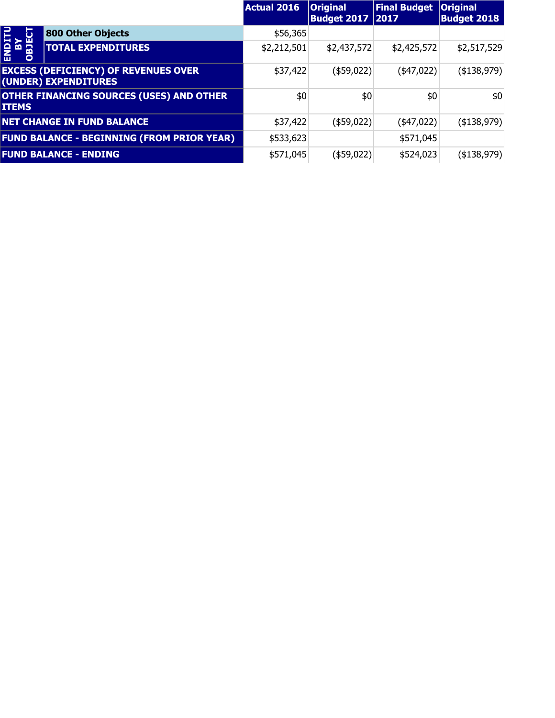|                             |                                                                     | <b>Actual 2016</b> | <b>Original</b><br><b>Budget 2017   2017</b> | <b>Final Budget</b> | <b>Original</b><br><b>Budget 2018</b> |
|-----------------------------|---------------------------------------------------------------------|--------------------|----------------------------------------------|---------------------|---------------------------------------|
| ь                           | 800 Other Objects                                                   | \$56,365           |                                              |                     |                                       |
| <b>SICRO</b><br>ASP<br>OBJE | <b>TOTAL EXPENDITURES</b>                                           | \$2,212,501        | \$2,437,572                                  | \$2,425,572         | \$2,517,529                           |
|                             | <b>EXCESS (DEFICIENCY) OF REVENUES OVER</b><br>(UNDER) EXPENDITURES | \$37,422           | $(*59,022)$                                  | $(*47,022)$         | $($ \$138,979) $ $                    |
| <b>ITEMS</b>                | <b>OTHER FINANCING SOURCES (USES) AND OTHER</b>                     | \$0                | \$0                                          | \$0                 | \$0                                   |
|                             | <b>NET CHANGE IN FUND BALANCE</b>                                   | \$37,422           | (\$59,022)                                   | $(*47,022)$         | $($ \$138,979) $ $                    |
|                             | <b>FUND BALANCE - BEGINNING (FROM PRIOR YEAR)</b>                   | \$533,623          |                                              | \$571,045           |                                       |
|                             | <b>FUND BALANCE - ENDING</b>                                        | \$571,045          | (\$59,022)                                   | \$524,023           | ( \$138, 979)                         |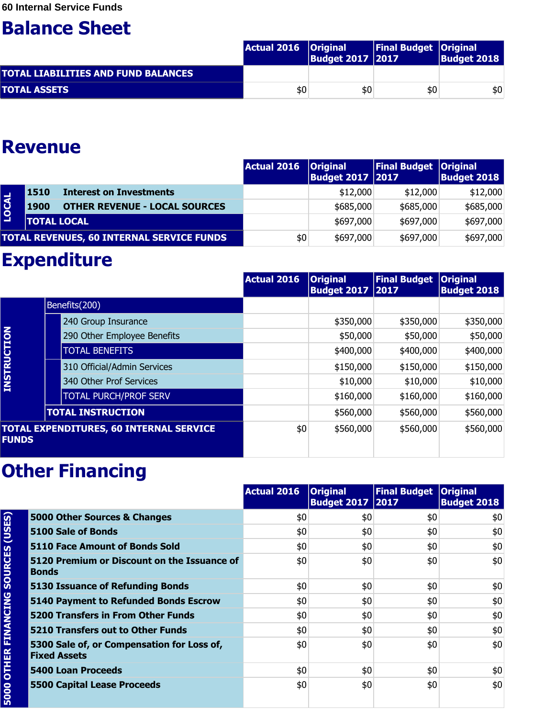|                                            | Actual 2016   Original | <b>Budget 2017 2017</b> | <b>Final Budget Original</b> | <b>Budget 2018</b> |
|--------------------------------------------|------------------------|-------------------------|------------------------------|--------------------|
| <b>TOTAL LIABILITIES AND FUND BALANCES</b> |                        |                         |                              |                    |
| <b>TOTAL ASSETS</b>                        | \$0                    | \$0                     | \$0                          | \$0                |

#### **Revenue**

|              |                    |                                                  | <b>Actual 2016</b> | <b>Original</b><br><b>Budget 2017   2017</b> | <b>Final Budget Original</b> | <b>Budget 2018</b> |
|--------------|--------------------|--------------------------------------------------|--------------------|----------------------------------------------|------------------------------|--------------------|
|              | 1510               | <b>Interest on Investments</b>                   |                    | \$12,000                                     | \$12,000                     | \$12,000           |
| <b>LOCAL</b> | 1900               | <b>OTHER REVENUE - LOCAL SOURCES</b>             |                    | \$685,000                                    | \$685,000                    | \$685,000          |
|              | <b>TOTAL LOCAL</b> |                                                  |                    | \$697,000                                    | \$697,000                    | \$697,000          |
|              |                    | <b>TOTAL REVENUES, 60 INTERNAL SERVICE FUNDS</b> | \$0                | \$697,000                                    | \$697,000                    | \$697,000          |

#### **Expenditure**

|                    |                                                | <b>Actual 2016</b> | <b>Original</b><br><b>Budget 2017   2017</b> | <b>Final Budget</b> | <b>Original</b><br><b>Budget 2018</b> |
|--------------------|------------------------------------------------|--------------------|----------------------------------------------|---------------------|---------------------------------------|
|                    | Benefits(200)                                  |                    |                                              |                     |                                       |
|                    | 240 Group Insurance                            |                    | \$350,000                                    | \$350,000           | \$350,000                             |
|                    | 290 Other Employee Benefits                    |                    | \$50,000                                     | \$50,000            | \$50,000                              |
|                    | <b>TOTAL BENEFITS</b>                          |                    | \$400,000                                    | \$400,000           | \$400,000                             |
| <b>INSTRUCTION</b> | 310 Official/Admin Services                    |                    | \$150,000                                    | \$150,000           | \$150,000                             |
|                    | 340 Other Prof Services                        |                    | \$10,000                                     | \$10,000            | \$10,000                              |
|                    | <b>TOTAL PURCH/PROF SERV</b>                   |                    | \$160,000                                    | \$160,000           | \$160,000                             |
|                    | <b>TOTAL INSTRUCTION</b>                       |                    | \$560,000                                    | \$560,000           | \$560,000                             |
| <b>FUNDS</b>       | <b>TOTAL EXPENDITURES, 60 INTERNAL SERVICE</b> | \$0                | \$560,000                                    | \$560,000           | \$560,000                             |

|                        |                                                                   | <b>Actual 2016</b> | <b>Original</b><br><b>Budget 2017   2017</b> | Final Budget Original | <b>Budget 2018</b> |
|------------------------|-------------------------------------------------------------------|--------------------|----------------------------------------------|-----------------------|--------------------|
|                        | 5000 Other Sources & Changes                                      | \$0                | \$0                                          | \$0                   | \$0                |
|                        | <b>5100 Sale of Bonds</b>                                         | \$0                | \$0                                          | \$0                   | \$0                |
|                        | 5110 Face Amount of Bonds Sold                                    | \$0                | \$0                                          | \$0                   | \$0                |
| <b>SOURCES (USES)</b>  | 5120 Premium or Discount on the Issuance of<br><b>Bonds</b>       | \$0                | \$0                                          | \$0                   | \$0                |
|                        | 5130 Issuance of Refunding Bonds                                  | \$0                | \$0                                          | \$0                   | \$0                |
|                        | 5140 Payment to Refunded Bonds Escrow                             | \$0                | \$0                                          | \$0                   | \$0                |
|                        | 5200 Transfers in From Other Funds                                | \$0                | \$0                                          | \$0                   | \$0                |
|                        | 5210 Transfers out to Other Funds                                 | \$0                | \$0                                          | \$0                   | \$0                |
| <b>OTHER FINANCING</b> | 5300 Sale of, or Compensation for Loss of,<br><b>Fixed Assets</b> | \$0                | \$0                                          | \$0                   | \$0                |
|                        | <b>5400 Loan Proceeds</b>                                         | \$0                | \$0                                          | \$0                   | \$0                |
| 5000                   | <b>5500 Capital Lease Proceeds</b>                                | \$0                | \$0                                          | \$0                   | \$0                |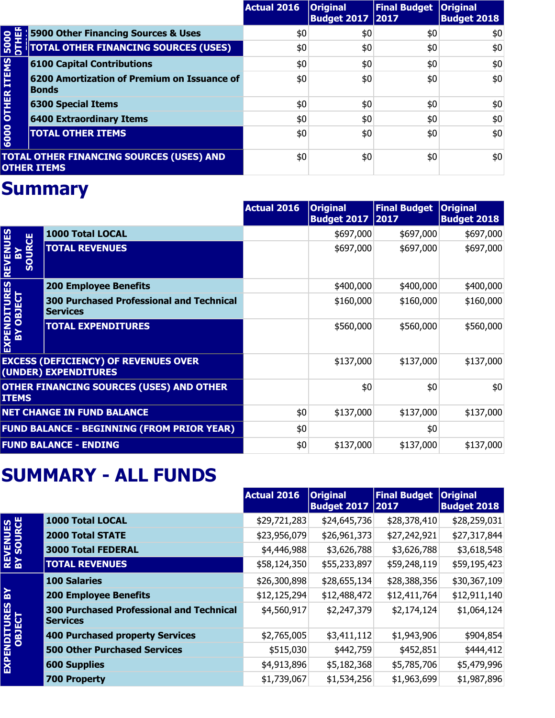|                    |                                                                       | <b>Actual 2016</b> | <b>Original</b><br><b>Budget 2017   2017</b> | Final Budget   Original | <b>Budget 2018</b> |
|--------------------|-----------------------------------------------------------------------|--------------------|----------------------------------------------|-------------------------|--------------------|
|                    | <b>5900 Other Financing Sources &amp; Uses</b>                        | \$0                | \$0                                          | \$0                     | \$0                |
| 5000               |                                                                       | \$0                | \$0                                          | \$0                     | \$0                |
|                    | <b>6100 Capital Contributions</b>                                     | \$0                | \$0                                          | \$0                     | \$0                |
| <b>OTHER ITEMS</b> | 6200 Amortization of Premium on Issuance of<br><b>Bonds</b>           | \$0                | \$0                                          | \$0                     | \$0                |
|                    | <b>6300 Special Items</b>                                             | \$0                | \$0                                          | \$0                     | \$0                |
|                    | <b>6400 Extraordinary Items</b>                                       | \$0                | \$0                                          | \$0                     | \$0                |
| 6000               | <b>TOTAL OTHER ITEMS</b>                                              | \$0                | \$0                                          | \$0                     | \$0                |
|                    | <b>TOTAL OTHER FINANCING SOURCES (USES) AND</b><br><b>OTHER ITEMS</b> | \$0                | \$0                                          | \$0                     | \$0                |

|                                                   |                                                                     | <b>Actual 2016</b> | <b>Original</b><br><b>Budget 2017</b> | <b>Final Budget</b><br> 2017 | <b>Original</b><br><b>Budget 2018</b> |
|---------------------------------------------------|---------------------------------------------------------------------|--------------------|---------------------------------------|------------------------------|---------------------------------------|
|                                                   | <b>1000 Total LOCAL</b>                                             |                    | \$697,000                             | \$697,000                    | \$697,000                             |
| <b>REVENUES</b><br>SOURCE<br>즓                    | <b>TOTAL REVENUES</b>                                               |                    | \$697,000                             | \$697,000                    | \$697,000                             |
|                                                   | <b>200 Employee Benefits</b>                                        |                    | \$400,000                             | \$400,000                    | \$400,000                             |
|                                                   | <b>300 Purchased Professional and Technical</b><br><b>Services</b>  |                    | \$160,000                             | \$160,000                    | \$160,000                             |
| EXPENDITURES<br>BY OBJECT                         | <b>TOTAL EXPENDITURES</b>                                           |                    | \$560,000                             | \$560,000                    | \$560,000                             |
|                                                   | <b>EXCESS (DEFICIENCY) OF REVENUES OVER</b><br>(UNDER) EXPENDITURES |                    | \$137,000                             | \$137,000                    | \$137,000                             |
| <b>ITEMS</b>                                      | OTHER FINANCING SOURCES (USES) AND OTHER                            |                    | \$0                                   | \$0                          | \$0                                   |
|                                                   | <b>NET CHANGE IN FUND BALANCE</b>                                   | \$0                | \$137,000                             | \$137,000                    | \$137,000                             |
| <b>FUND BALANCE - BEGINNING (FROM PRIOR YEAR)</b> |                                                                     | \$0                |                                       | \$0                          |                                       |
| <b>FUND BALANCE - ENDING</b>                      |                                                                     | \$0                | \$137,000                             | \$137,000                    | \$137,000                             |

#### **SUMMARY - ALL FUNDS**

|                                        |                                                                    | <b>Actual 2016</b> | <b>Original</b><br>Budget 2017 2017 | <b>Final Budget</b> | <b>Original</b><br><b>Budget 2018</b> |
|----------------------------------------|--------------------------------------------------------------------|--------------------|-------------------------------------|---------------------|---------------------------------------|
| <b>REVENUES<br/>BY SOURCE</b>          | 1000 Total LOCAL                                                   | \$29,721,283       | \$24,645,736                        | \$28,378,410        | \$28,259,031                          |
|                                        | <b>2000 Total STATE</b>                                            | \$23,956,079       | \$26,961,373                        | \$27,242,921        | \$27,317,844                          |
|                                        | <b>3000 Total FEDERAL</b>                                          | \$4,446,988        | \$3,626,788                         | \$3,626,788         | \$3,618,548                           |
|                                        | <b>TOTAL REVENUES</b>                                              | \$58,124,350       | \$55,233,897                        | \$59,248,119        | \$59,195,423                          |
| $\mathbf{R}$<br>EXPENDITURES<br>OBJECT | <b>100 Salaries</b>                                                | \$26,300,898       | \$28,655,134                        | \$28,388,356        | \$30,367,109                          |
|                                        | <b>200 Employee Benefits</b>                                       | \$12,125,294       | \$12,488,472                        | \$12,411,764        | \$12,911,140                          |
|                                        | <b>300 Purchased Professional and Technical</b><br><b>Services</b> | \$4,560,917        | \$2,247,379                         | \$2,174,124         | \$1,064,124                           |
|                                        | 400 Purchased property Services                                    | \$2,765,005        | \$3,411,112                         | \$1,943,906         | \$904,854                             |
|                                        | <b>500 Other Purchased Services</b>                                | \$515,030          | \$442,759                           | \$452,851           | \$444,412                             |
|                                        | <b>600 Supplies</b>                                                | \$4,913,896        | \$5,182,368                         | \$5,785,706         | \$5,479,996                           |
|                                        | <b>700 Property</b>                                                | \$1,739,067        | \$1,534,256                         | \$1,963,699         | \$1,987,896                           |